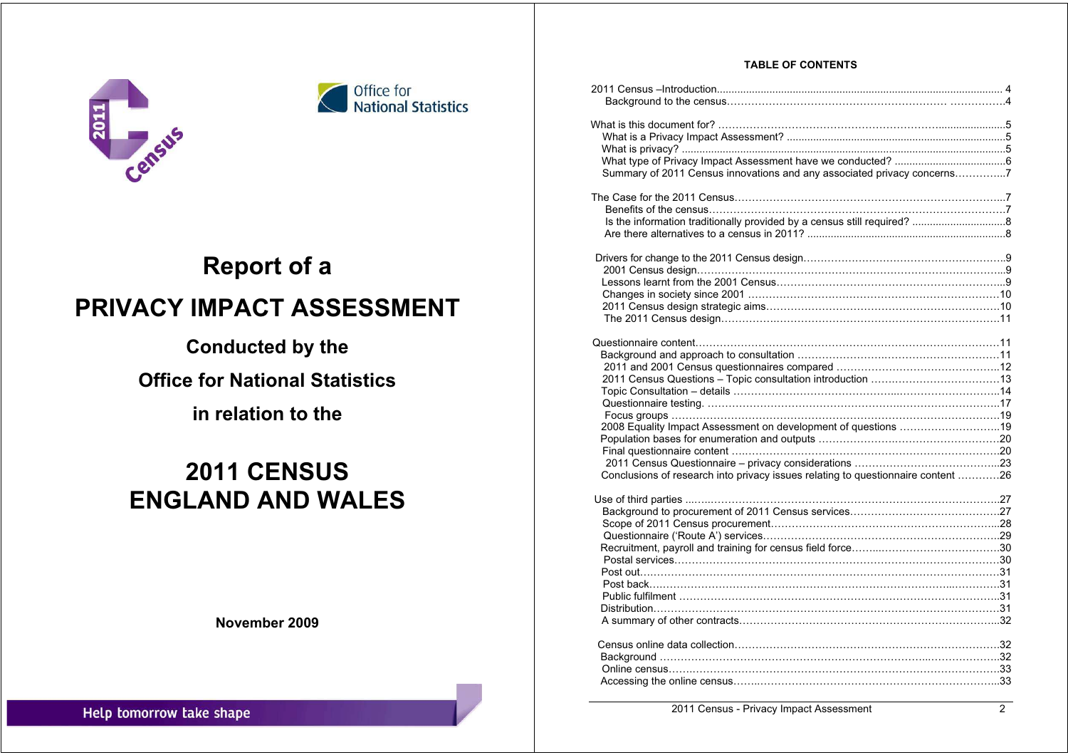



# **Report of a PRIVACY IMPACT ASSESSMENT**

## **Conducted by the**

## **Office for National Statistics**

## **in relation to the**

# **2011 CENSUS ENGLAND AND WALES**

**November 2009** 

| <b>TABLE OF CONTENTS</b> |
|--------------------------|
|--------------------------|

| Summary of 2011 Census innovations and any associated privacy concerns7          |  |
|----------------------------------------------------------------------------------|--|
|                                                                                  |  |
|                                                                                  |  |
|                                                                                  |  |
|                                                                                  |  |
|                                                                                  |  |
|                                                                                  |  |
|                                                                                  |  |
|                                                                                  |  |
|                                                                                  |  |
|                                                                                  |  |
|                                                                                  |  |
|                                                                                  |  |
|                                                                                  |  |
|                                                                                  |  |
|                                                                                  |  |
|                                                                                  |  |
|                                                                                  |  |
|                                                                                  |  |
|                                                                                  |  |
| 2008 Equality Impact Assessment on development of questions 19                   |  |
|                                                                                  |  |
|                                                                                  |  |
|                                                                                  |  |
| Conclusions of research into privacy issues relating to questionnaire content 26 |  |
|                                                                                  |  |
|                                                                                  |  |
|                                                                                  |  |
|                                                                                  |  |
|                                                                                  |  |
|                                                                                  |  |
|                                                                                  |  |
|                                                                                  |  |
|                                                                                  |  |
| Distribution…………………………………………………………………………………………31                                 |  |
|                                                                                  |  |
|                                                                                  |  |
|                                                                                  |  |
|                                                                                  |  |
|                                                                                  |  |
|                                                                                  |  |
|                                                                                  |  |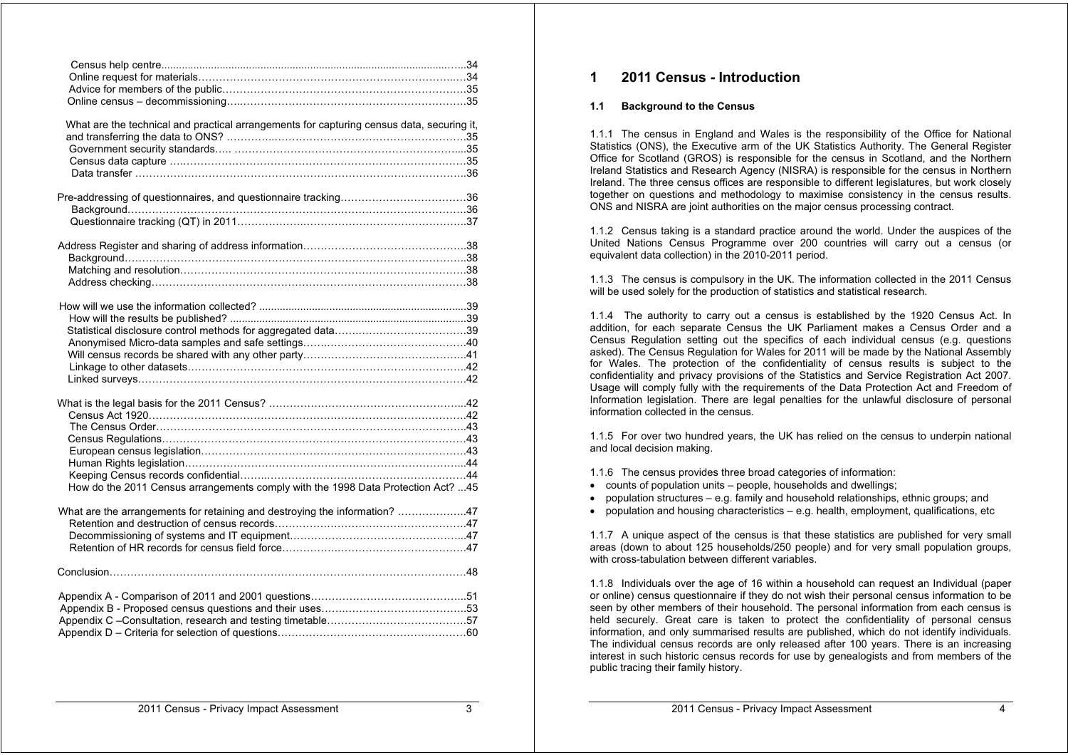| What are the technical and practical arrangements for capturing census data, securing it, |  |
|-------------------------------------------------------------------------------------------|--|
|                                                                                           |  |
|                                                                                           |  |
|                                                                                           |  |
| Data transfer                                                                             |  |

| How do the 2011 Census arrangements comply with the 1998 Data Protection Act?  45 |  |
|-----------------------------------------------------------------------------------|--|

| What are the arrangements for retaining and destroying the information? 47 |  |
|----------------------------------------------------------------------------|--|
|                                                                            |  |
|                                                                            |  |
|                                                                            |  |

## **1 2011 Census - Introduction**

#### **1.1 Background to the Census**

1.1.1 The census in England and Wales is the responsibility of the Office for National Statistics (ONS), the Executive arm of the UK Statistics Authority. The General Register Office for Scotland (GROS) is responsible for the census in Scotland, and the Northern Ireland Statistics and Research Agency (NISRA) is responsible for the census in Northern Ireland. The three census offices are responsible to different legislatures, but work closely together on questions and methodology to maximise consistency in the census results. ONS and NISRA are joint authorities on the major census processing contract.

1.1.2 Census taking is a standard practice around the world. Under the auspices of the United Nations Census Programme over 200 countries will carry out a census (or equivalent data collection) in the 2010-2011 period.

1.1.3 The census is compulsory in the UK. The information collected in the 2011 Census will be used solely for the production of statistics and statistical research.

1.1.4 The authority to carry out a census is established by the 1920 Census Act. In addition, for each separate Census the UK Parliament makes a Census Order and a Census Regulation setting out the specifics of each individual census (e.g. questions asked). The Census Regulation for Wales for 2011 will be made by the National Assembly for Wales. The protection of the confidentiality of census results is subject to the confidentiality and privacy provisions of the Statistics and Service Registration Act 2007. Usage will comply fully with the requirements of the Data Protection Act and Freedom of Information legislation. There are legal penalties for the unlawful disclosure of personal information collected in the census.

1.1.5 For over two hundred years, the UK has relied on the census to underpin national and local decision making.

- 1.1.6 The census provides three broad categories of information:
- counts of population units people, households and dwellings;
- population structures e.g. family and household relationships, ethnic groups; and
- population and housing characteristics e.g. health, employment, qualifications, etc.

1.1.7 A unique aspect of the census is that these statistics are published for very small areas (down to about 125 households/250 people) and for very small population groups, with cross-tabulation between different variables.

1.1.8 Individuals over the age of 16 within a household can request an Individual (paper or online) census questionnaire if they do not wish their personal census information to be seen by other members of their household. The personal information from each census is held securely. Great care is taken to protect the confidentiality of personal census information, and only summarised results are published, which do not identify individuals. The individual census records are only released after 100 years. There is an increasing interest in such historic census records for use by genealogists and from members of the public tracing their family history.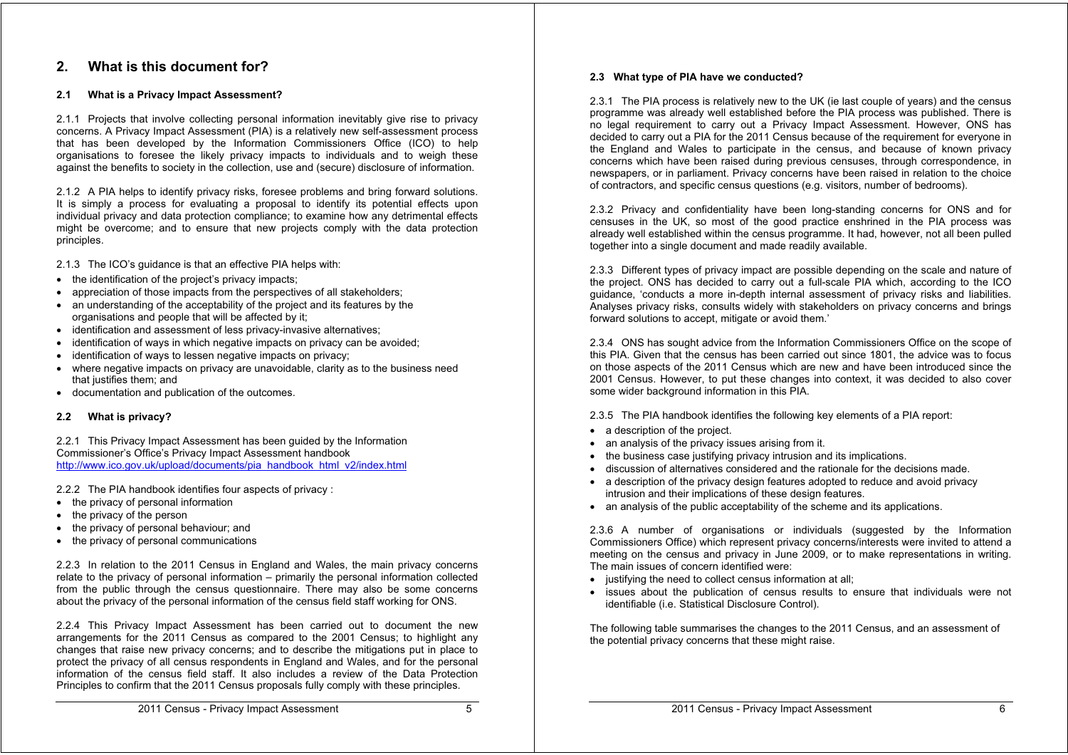## **2. What is this document for?**

#### **2.1 What is a Privacy Impact Assessment?**

2.1.1 Projects that involve collecting personal information inevitably give rise to privacy concerns. A Privacy Impact Assessment (PIA) is a relatively new self-assessment process that has been developed by the Information Commissioners Office (ICO) to help organisations to foresee the likely privacy impacts to individuals and to weigh these against the benefits to society in the collection, use and (secure) disclosure of information.

2.1.2 A PIA helps to identify privacy risks, foresee problems and bring forward solutions. It is simply a process for evaluating a proposal to identify its potential effects upon individual privacy and data protection compliance; to examine how any detrimental effects might be overcome; and to ensure that new projects comply with the data protection principles.

2.1.3 The ICO's guidance is that an effective PIA helps with:

- the identification of the project's privacy impacts;
- appreciation of those impacts from the perspectives of all stakeholders;
- an understanding of the acceptability of the project and its features by the organisations and people that will be affected by it;
- identification and assessment of less privacy-invasive alternatives;
- identification of ways in which negative impacts on privacy can be avoided;
- identification of ways to lessen negative impacts on privacy;
- where negative impacts on privacy are unavoidable, clarity as to the business need that justifies them; and
- documentation and publication of the outcomes.

#### **2.2 What is privacy?**

2.2.1 This Privacy Impact Assessment has been guided by the Information Commissioner's Office's Privacy Impact Assessment handbook http://www.ico.gov.uk/upload/documents/pia\_handbook\_html\_v2/index.html

2.2.2 The PIA handbook identifies four aspects of privacy :

- the privacy of personal information
- the privacy of the person
- the privacy of personal behaviour; and
- the privacy of personal communications

2.2.3 In relation to the 2011 Census in England and Wales, the main privacy concerns relate to the privacy of personal information – primarily the personal information collected from the public through the census questionnaire. There may also be some concerns about the privacy of the personal information of the census field staff working for ONS.

2.2.4 This Privacy Impact Assessment has been carried out to document the new arrangements for the 2011 Census as compared to the 2001 Census; to highlight any changes that raise new privacy concerns; and to describe the mitigations put in place to protect the privacy of all census respondents in England and Wales, and for the personal information of the census field staff. It also includes a review of the Data Protection Principles to confirm that the 2011 Census proposals fully comply with these principles.

#### **2.3 What type of PIA have we conducted?**

2.3.1 The PIA process is relatively new to the UK (ie last couple of years) and the census programme was already well established before the PIA process was published. There is no legal requirement to carry out a Privacy Impact Assessment. However, ONS has decided to carry out a PIA for the 2011 Census because of the requirement for everyone in the England and Wales to participate in the census, and because of known privacy concerns which have been raised during previous censuses, through correspondence, in newspapers, or in parliament. Privacy concerns have been raised in relation to the choice of contractors, and specific census questions (e.g. visitors, number of bedrooms).

2.3.2 Privacy and confidentiality have been long-standing concerns for ONS and for censuses in the UK, so most of the good practice enshrined in the PIA process was already well established within the census programme. It had, however, not all been pulled together into a single document and made readily available.

2.3.3 Different types of privacy impact are possible depending on the scale and nature of the project. ONS has decided to carry out a full-scale PIA which, according to the ICO guidance, 'conducts a more in-depth internal assessment of privacy risks and liabilities. Analyses privacy risks, consults widely with stakeholders on privacy concerns and brings forward solutions to accept, mitigate or avoid them.'

2.3.4 ONS has sought advice from the Information Commissioners Office on the scope of this PIA. Given that the census has been carried out since 1801, the advice was to focus on those aspects of the 2011 Census which are new and have been introduced since the 2001 Census. However, to put these changes into context, it was decided to also cover some wider background information in this PIA.

2.3.5 The PIA handbook identifies the following key elements of a PIA report:

- a description of the project.
- an analysis of the privacy issues arising from it.
- the business case justifying privacy intrusion and its implications.
- discussion of alternatives considered and the rationale for the decisions made.
- a description of the privacy design features adopted to reduce and avoid privacy intrusion and their implications of these design features.
- an analysis of the public acceptability of the scheme and its applications.

2.3.6 A number of organisations or individuals (suggested by the Information Commissioners Office) which represent privacy concerns/interests were invited to attend a meeting on the census and privacy in June 2009, or to make representations in writing. The main issues of concern identified were:

- justifying the need to collect census information at all;
- issues about the publication of census results to ensure that individuals were not identifiable (i.e. Statistical Disclosure Control).

The following table summarises the changes to the 2011 Census, and an assessment of the potential privacy concerns that these might raise.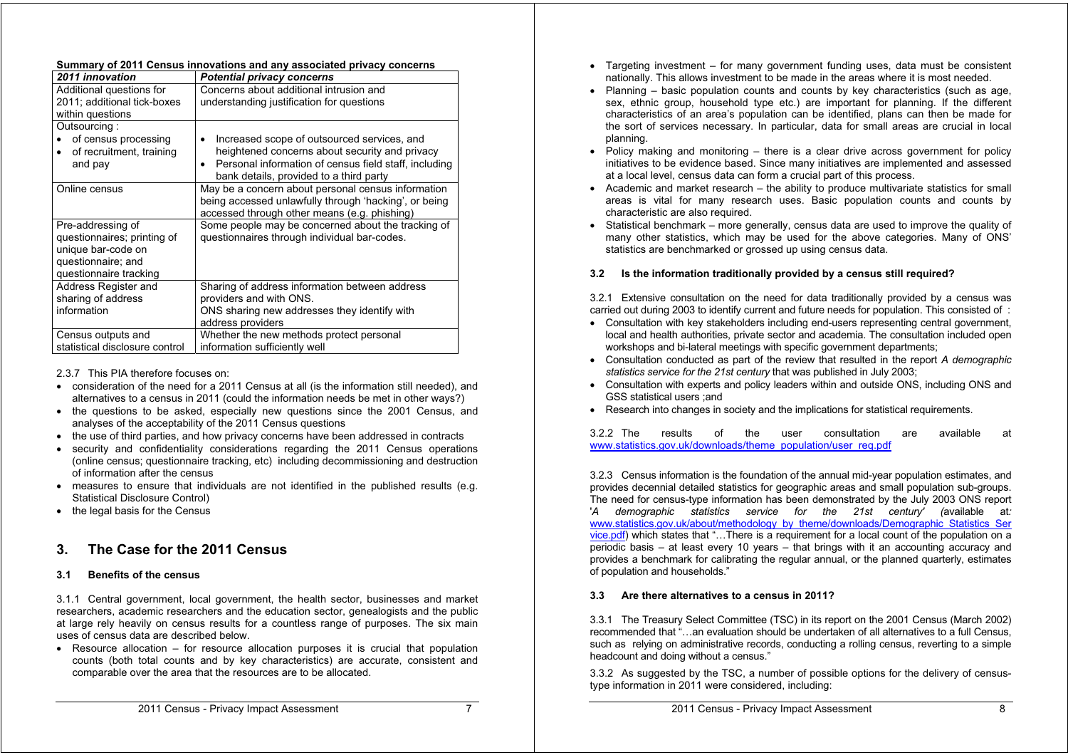|  | Summary of 2011 Census innovations and any associated privacy concerns |  |  |
|--|------------------------------------------------------------------------|--|--|
|--|------------------------------------------------------------------------|--|--|

| 2011 innovation                                                                                                        | <b>Potential privacy concerns</b>                                                                                                                                                                              |
|------------------------------------------------------------------------------------------------------------------------|----------------------------------------------------------------------------------------------------------------------------------------------------------------------------------------------------------------|
| Additional questions for<br>2011; additional tick-boxes<br>within questions                                            | Concerns about additional intrusion and<br>understanding justification for questions                                                                                                                           |
| Outsourcing:<br>of census processing<br>of recruitment, training<br>$\bullet$<br>and pay                               | Increased scope of outsourced services, and<br>heightened concerns about security and privacy<br>Personal information of census field staff, including<br>$\bullet$<br>bank details, provided to a third party |
| Online census                                                                                                          | May be a concern about personal census information<br>being accessed unlawfully through 'hacking', or being<br>accessed through other means (e.g. phishing)                                                    |
| Pre-addressing of<br>questionnaires; printing of<br>unique bar-code on<br>questionnaire; and<br>questionnaire tracking | Some people may be concerned about the tracking of<br>questionnaires through individual bar-codes.                                                                                                             |
| Address Register and<br>sharing of address<br>information                                                              | Sharing of address information between address<br>providers and with ONS.<br>ONS sharing new addresses they identify with<br>address providers                                                                 |
| Census outputs and<br>statistical disclosure control                                                                   | Whether the new methods protect personal<br>information sufficiently well                                                                                                                                      |

2.3.7 This PIA therefore focuses on:

- consideration of the need for a 2011 Census at all (is the information still needed), and alternatives to a census in 2011 (could the information needs be met in other ways?)
- the questions to be asked, especially new questions since the 2001 Census, and analyses of the acceptability of the 2011 Census questions
- the use of third parties, and how privacy concerns have been addressed in contracts
- security and confidentiality considerations regarding the 2011 Census operations (online census; questionnaire tracking, etc) including decommissioning and destruction of information after the census
- measures to ensure that individuals are not identified in the published results (e.g. Statistical Disclosure Control)
- the legal basis for the Census

## **3. The Case for the 2011 Census**

#### **3.1 Benefits of the census**

3.1.1 Central government, local government, the health sector, businesses and market researchers, academic researchers and the education sector, genealogists and the public at large rely heavily on census results for a countless range of purposes. The six main uses of census data are described below.

 $\bullet$  Resource allocation – for resource allocation purposes it is crucial that population counts (both total counts and by key characteristics) are accurate, consistent and comparable over the area that the resources are to be allocated.

- Targeting investment for many government funding uses, data must be consistent nationally. This allows investment to be made in the areas where it is most needed.
- Planning  $-$  basic population counts and counts by key characteristics (such as age, sex, ethnic group, household type etc.) are important for planning. If the different characteristics of an area's population can be identified, plans can then be made for the sort of services necessary. In particular, data for small areas are crucial in local planning.
- Policy making and monitoring there is a clear drive across government for policy initiatives to be evidence based. Since many initiatives are implemented and assessed at a local level, census data can form a crucial part of this process.
- Academic and market research the ability to produce multivariate statistics for small areas is vital for many research uses. Basic population counts and counts by characteristic are also required.
- Statistical benchmark more generally, census data are used to improve the quality of many other statistics, which may be used for the above categories. Many of ONS' statistics are benchmarked or grossed up using census data.

#### **3.2 Is the information traditionally provided by a census still required?**

3.2.1 Extensive consultation on the need for data traditionally provided by a census was carried out during 2003 to identify current and future needs for population. This consisted of :

- Consultation with key stakeholders including end-users representing central government, local and health authorities, private sector and academia. The consultation included open workshops and bi-lateral meetings with specific government departments;
- Consultation conducted as part of the review that resulted in the report *A demographic statistics service for the 21st century* that was published in July 2003;
- Consultation with experts and policy leaders within and outside ONS, including ONS and GSS statistical users ;and
- Research into changes in society and the implications for statistical requirements.

3.2.2 The results of the user consultation are available at www.statistics.gov.uk/downloads/theme\_population/user\_req.pdf

3.2.3 Census information is the foundation of the annual mid-year population estimates, and provides decennial detailed statistics for geographic areas and small population sub-groups. The need for census-type information has been demonstrated by the July 2003 ONS report '*A demographic statistics service for the 21st century' (*available at*:* www.statistics.gov.uk/about/methodology\_by\_theme/downloads/Demographic\_Statistics\_Ser vice.pdf) which states that "…There is a requirement for a local count of the population on a periodic basis – at least every 10 years – that brings with it an accounting accuracy and provides a benchmark for calibrating the regular annual, or the planned quarterly, estimates of population and households."

#### **3.3 Are there alternatives to a census in 2011?**

3.3.1 The Treasury Select Committee (TSC) in its report on the 2001 Census (March 2002) recommended that "…an evaluation should be undertaken of all alternatives to a full Census, such as relying on administrative records, conducting a rolling census, reverting to a simple headcount and doing without a census."

3.3.2 As suggested by the TSC, a number of possible options for the delivery of censustype information in 2011 were considered, including: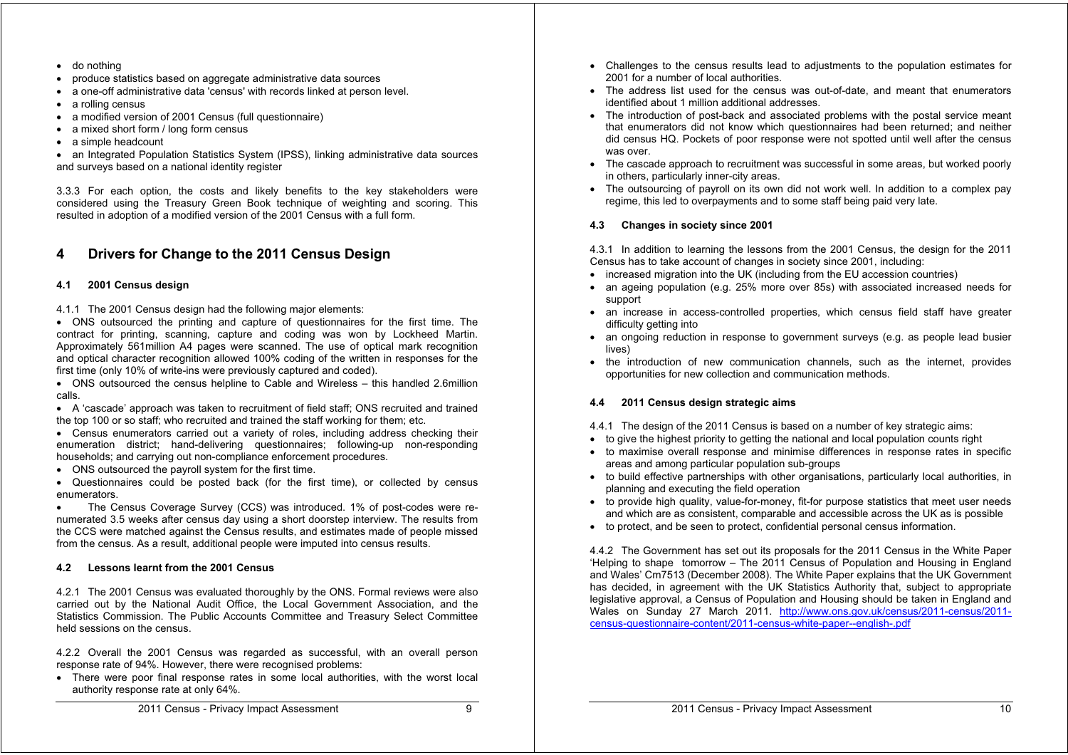- do nothing
- produce statistics based on aggregate administrative data sources
- a one-off administrative data 'census' with records linked at person level.
- a rolling census
- a modified version of 2001 Census (full questionnaire)
- a mixed short form / long form census
- a simple headcount

• an Integrated Population Statistics System (IPSS), linking administrative data sources and surveys based on a national identity register

3.3.3 For each option, the costs and likely benefits to the key stakeholders were considered using the Treasury Green Book technique of weighting and scoring. This resulted in adoption of a modified version of the 2001 Census with a full form.

## **4 Drivers for Change to the 2011 Census Design**

#### **4.1 2001 Census design**

4.1.1 The 2001 Census design had the following major elements:

 ONS outsourced the printing and capture of questionnaires for the first time. The contract for printing, scanning, capture and coding was won by Lockheed Martin. Approximately 561million A4 pages were scanned. The use of optical mark recognition and optical character recognition allowed 100% coding of the written in responses for the first time (only 10% of write-ins were previously captured and coded).

 ONS outsourced the census helpline to Cable and Wireless – this handled 2.6million calls.

• A 'cascade' approach was taken to recruitment of field staff; ONS recruited and trained the top 100 or so staff; who recruited and trained the staff working for them; etc.

 Census enumerators carried out a variety of roles, including address checking their enumeration district; hand-delivering questionnaires; following-up non-responding households; and carrying out non-compliance enforcement procedures.

ONS outsourced the payroll system for the first time.

 Questionnaires could be posted back (for the first time), or collected by census enumerators.

 The Census Coverage Survey (CCS) was introduced. 1% of post-codes were renumerated 3.5 weeks after census day using a short doorstep interview. The results from the CCS were matched against the Census results, and estimates made of people missed from the census. As a result, additional people were imputed into census results.

#### **4.2 Lessons learnt from the 2001 Census**

4.2.1 The 2001 Census was evaluated thoroughly by the ONS. Formal reviews were also carried out by the National Audit Office, the Local Government Association, and the Statistics Commission. The Public Accounts Committee and Treasury Select Committee held sessions on the census.

4.2.2 Overall the 2001 Census was regarded as successful, with an overall person response rate of 94%. However, there were recognised problems:

 There were poor final response rates in some local authorities, with the worst local authority response rate at only 64%.

- Challenges to the census results lead to adjustments to the population estimates for 2001 for a number of local authorities.
- The address list used for the census was out-of-date, and meant that enumerators identified about 1 million additional addresses.
- The introduction of post-back and associated problems with the postal service meant that enumerators did not know which questionnaires had been returned; and neither did census HQ. Pockets of poor response were not spotted until well after the census was over.
- The cascade approach to recruitment was successful in some areas, but worked poorly in others, particularly inner-city areas.
- The outsourcing of payroll on its own did not work well. In addition to a complex pay regime, this led to overpayments and to some staff being paid very late.

#### **4.3 Changes in society since 2001**

4.3.1 In addition to learning the lessons from the 2001 Census, the design for the 2011 Census has to take account of changes in society since 2001, including:

- increased migration into the UK (including from the EU accession countries)
- an ageing population (e.g. 25% more over 85s) with associated increased needs for support
- an increase in access-controlled properties, which census field staff have greater difficulty getting into
- an ongoing reduction in response to government surveys (e.g. as people lead busier lives)
- the introduction of new communication channels, such as the internet, provides opportunities for new collection and communication methods.

#### **4.4 2011 Census design strategic aims**

- 4.4.1 The design of the 2011 Census is based on a number of key strategic aims:
- to give the highest priority to getting the national and local population counts right
- to maximise overall response and minimise differences in response rates in specific areas and among particular population sub-groups
- to build effective partnerships with other organisations, particularly local authorities, in planning and executing the field operation
- to provide high quality, value-for-money, fit-for purpose statistics that meet user needs and which are as consistent, comparable and accessible across the UK as is possible
- to protect, and be seen to protect, confidential personal census information.

4.4.2 The Government has set out its proposals for the 2011 Census in the White Paper 'Helping to shape tomorrow – The 2011 Census of Population and Housing in England and Wales' Cm7513 (December 2008). The White Paper explains that the UK Government has decided, in agreement with the UK Statistics Authority that, subject to appropriate legislative approval, a Census of Population and Housing should be taken in England and Wales on Sunday 27 March 2011. http://www.ons.gov.uk/census/2011-census/2011 census-questionnaire-content/2011-census-white-paper--english-.pdf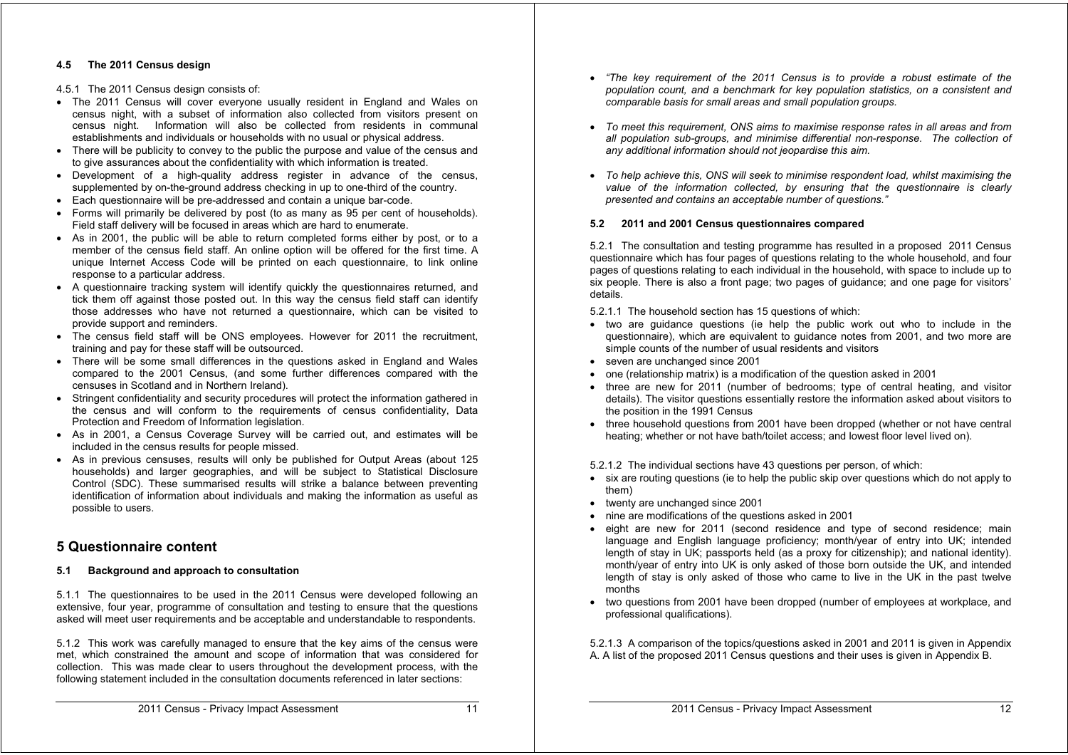#### **4.5 The 2011 Census design**

#### 4.5.1 The 2011 Census design consists of:

- The 2011 Census will cover everyone usually resident in England and Wales on census night, with a subset of information also collected from visitors present on census night. Information will also be collected from residents in communal establishments and individuals or households with no usual or physical address.
- There will be publicity to convey to the public the purpose and value of the census and to give assurances about the confidentiality with which information is treated.
- Development of a high-quality address register in advance of the census, supplemented by on-the-ground address checking in up to one-third of the country.
- Each questionnaire will be pre-addressed and contain a unique bar-code.
- Forms will primarily be delivered by post (to as many as 95 per cent of households). Field staff delivery will be focused in areas which are hard to enumerate.
- As in 2001, the public will be able to return completed forms either by post, or to a member of the census field staff. An online option will be offered for the first time. A unique Internet Access Code will be printed on each questionnaire, to link online response to a particular address.
- A questionnaire tracking system will identify quickly the questionnaires returned, and tick them off against those posted out. In this way the census field staff can identify those addresses who have not returned a questionnaire, which can be visited to provide support and reminders.
- The census field staff will be ONS employees. However for 2011 the recruitment, training and pay for these staff will be outsourced.
- There will be some small differences in the questions asked in England and Wales compared to the 2001 Census, (and some further differences compared with the censuses in Scotland and in Northern Ireland).
- Stringent confidentiality and security procedures will protect the information gathered in the census and will conform to the requirements of census confidentiality, Data Protection and Freedom of Information legislation.
- As in 2001, a Census Coverage Survey will be carried out, and estimates will be included in the census results for people missed.
- As in previous censuses, results will only be published for Output Areas (about 125 households) and larger geographies, and will be subject to Statistical Disclosure Control (SDC). These summarised results will strike a balance between preventing identification of information about individuals and making the information as useful as possible to users.

## **5 Questionnaire content**

#### **5.1 Background and approach to consultation**

5.1.1 The questionnaires to be used in the 2011 Census were developed following an extensive, four year, programme of consultation and testing to ensure that the questions asked will meet user requirements and be acceptable and understandable to respondents.

5.1.2 This work was carefully managed to ensure that the key aims of the census were met, which constrained the amount and scope of information that was considered for collection. This was made clear to users throughout the development process, with the following statement included in the consultation documents referenced in later sections:

- *"The key requirement of the 2011 Census is to provide a robust estimate of the population count, and a benchmark for key population statistics, on a consistent and comparable basis for small areas and small population groups.*
- *To meet this requirement, ONS aims to maximise response rates in all areas and from all population sub-groups, and minimise differential non-response. The collection of any additional information should not jeopardise this aim.*
- *To help achieve this, ONS will seek to minimise respondent load, whilst maximising the value of the information collected, by ensuring that the questionnaire is clearly presented and contains an acceptable number of questions."*

#### **5.2 2011 and 2001 Census questionnaires compared**

5.2.1 The consultation and testing programme has resulted in a proposed 2011 Census questionnaire which has four pages of questions relating to the whole household, and four pages of questions relating to each individual in the household, with space to include up to six people. There is also a front page; two pages of guidance; and one page for visitors' details.

5.2.1.1 The household section has 15 questions of which:

- two are quidance questions (ie help the public work out who to include in the questionnaire), which are equivalent to guidance notes from 2001, and two more are simple counts of the number of usual residents and visitors
- seven are unchanged since 2001
- one (relationship matrix) is a modification of the question asked in 2001
- three are new for 2011 (number of bedrooms; type of central heating, and visitor details). The visitor questions essentially restore the information asked about visitors to the position in the 1991 Census
- three household questions from 2001 have been dropped (whether or not have central heating; whether or not have bath/toilet access; and lowest floor level lived on).
- 5.2.1.2 The individual sections have 43 questions per person, of which:
- six are routing questions (ie to help the public skip over questions which do not apply to them)
- twenty are unchanged since 2001
- nine are modifications of the questions asked in 2001
- eight are new for 2011 (second residence and type of second residence; main language and English language proficiency; month/year of entry into UK; intended length of stay in UK; passports held (as a proxy for citizenship); and national identity). month/year of entry into UK is only asked of those born outside the UK, and intended length of stay is only asked of those who came to live in the UK in the past twelve months
- two questions from 2001 have been dropped (number of employees at workplace, and professional qualifications).

5.2.1.3 A comparison of the topics/questions asked in 2001 and 2011 is given in Appendix A. A list of the proposed 2011 Census questions and their uses is given in Appendix B.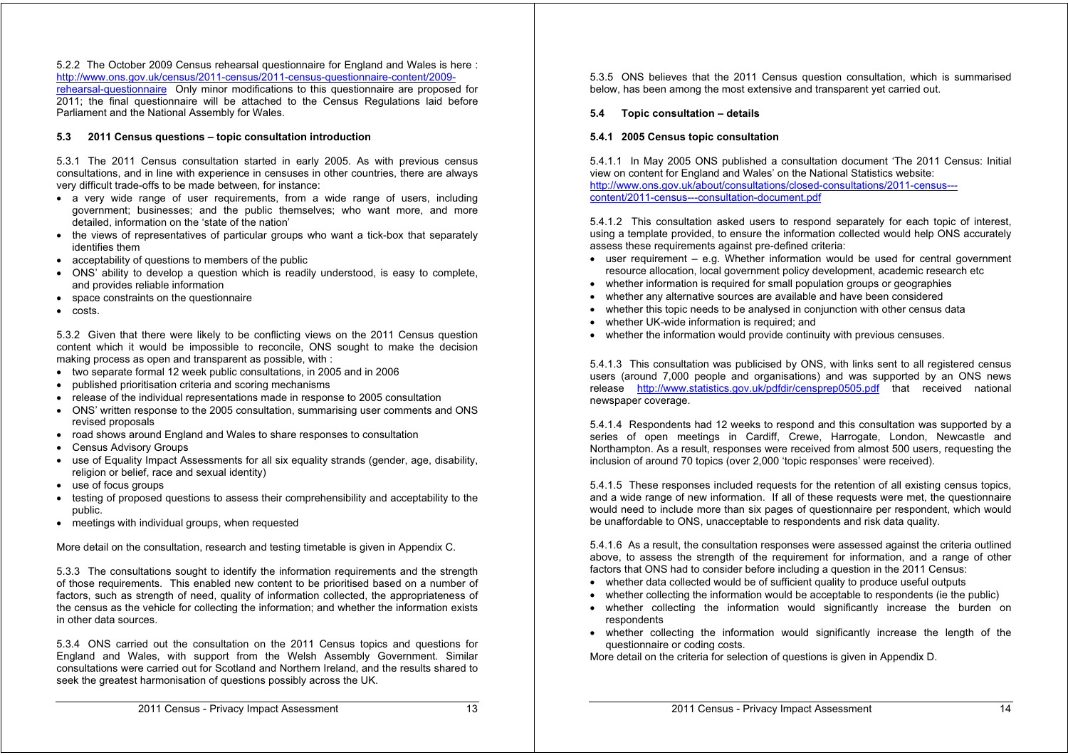5.2.2 The October 2009 Census rehearsal questionnaire for England and Wales is here : http://www.ons.gov.uk/census/2011-census/2011-census-questionnaire-content/2009 rehearsal-questionnaire Only minor modifications to this questionnaire are proposed for 2011; the final questionnaire will be attached to the Census Regulations laid before Parliament and the National Assembly for Wales.

#### **5.3 2011 Census questions – topic consultation introduction**

5.3.1 The 2011 Census consultation started in early 2005. As with previous census consultations, and in line with experience in censuses in other countries, there are always very difficult trade-offs to be made between, for instance:

- a very wide range of user requirements, from a wide range of users, including government; businesses; and the public themselves; who want more, and more detailed, information on the 'state of the nation'
- the views of representatives of particular groups who want a tick-box that separately identifies them
- acceptability of questions to members of the public
- ONS' ability to develop a question which is readily understood, is easy to complete, and provides reliable information
- space constraints on the questionnaire
- costs.

5.3.2 Given that there were likely to be conflicting views on the 2011 Census question content which it would be impossible to reconcile, ONS sought to make the decision making process as open and transparent as possible, with :

- two separate formal 12 week public consultations, in 2005 and in 2006
- published prioritisation criteria and scoring mechanisms
- release of the individual representations made in response to 2005 consultation
- ONS' written response to the 2005 consultation, summarising user comments and ONS revised proposals
- road shows around England and Wales to share responses to consultation
- Census Advisory Groups
- use of Equality Impact Assessments for all six equality strands (gender, age, disability, religion or belief, race and sexual identity)
- use of focus groups
- testing of proposed questions to assess their comprehensibility and acceptability to the public.
- meetings with individual groups, when requested

More detail on the consultation, research and testing timetable is given in Appendix C.

5.3.3 The consultations sought to identify the information requirements and the strength of those requirements. This enabled new content to be prioritised based on a number of factors, such as strength of need, quality of information collected, the appropriateness of the census as the vehicle for collecting the information; and whether the information exists in other data sources.

5.3.4 ONS carried out the consultation on the 2011 Census topics and questions for England and Wales, with support from the Welsh Assembly Government. Similar consultations were carried out for Scotland and Northern Ireland, and the results shared to seek the greatest harmonisation of questions possibly across the UK.

5.3.5 ONS believes that the 2011 Census question consultation, which is summarised below, has been among the most extensive and transparent yet carried out.

#### **5.4 Topic consultation – details**

#### **5.4.1 2005 Census topic consultation**

5.4.1.1 In May 2005 ONS published a consultation document 'The 2011 Census: Initial view on content for England and Wales' on the National Statistics website: http://www.ons.gov.uk/about/consultations/closed-consultations/2011-census-- content/2011-census---consultation-document.pdf

5.4.1.2 This consultation asked users to respond separately for each topic of interest, using a template provided, to ensure the information collected would help ONS accurately assess these requirements against pre-defined criteria:

- user requirement e.g. Whether information would be used for central government resource allocation, local government policy development, academic research etc
- whether information is required for small population groups or geographies
- whether any alternative sources are available and have been considered
- whether this topic needs to be analysed in conjunction with other census data
- whether UK-wide information is required; and
- whether the information would provide continuity with previous censuses.

5.4.1.3 This consultation was publicised by ONS, with links sent to all registered census users (around 7,000 people and organisations) and was supported by an ONS news release http://www.statistics.gov.uk/pdfdir/censprep0505.pdf that received national newspaper coverage.

5.4.1.4 Respondents had 12 weeks to respond and this consultation was supported by a series of open meetings in Cardiff, Crewe, Harrogate, London, Newcastle and Northampton. As a result, responses were received from almost 500 users, requesting the inclusion of around 70 topics (over 2,000 'topic responses' were received).

5.4.1.5 These responses included requests for the retention of all existing census topics, and a wide range of new information. If all of these requests were met, the questionnaire would need to include more than six pages of questionnaire per respondent, which would be unaffordable to ONS, unacceptable to respondents and risk data quality.

5.4.1.6 As a result, the consultation responses were assessed against the criteria outlined above, to assess the strength of the requirement for information, and a range of other factors that ONS had to consider before including a question in the 2011 Census:

- whether data collected would be of sufficient quality to produce useful outputs
- whether collecting the information would be acceptable to respondents (ie the public)
- whether collecting the information would significantly increase the burden on respondents
- whether collecting the information would significantly increase the length of the questionnaire or coding costs.

More detail on the criteria for selection of questions is given in Appendix D.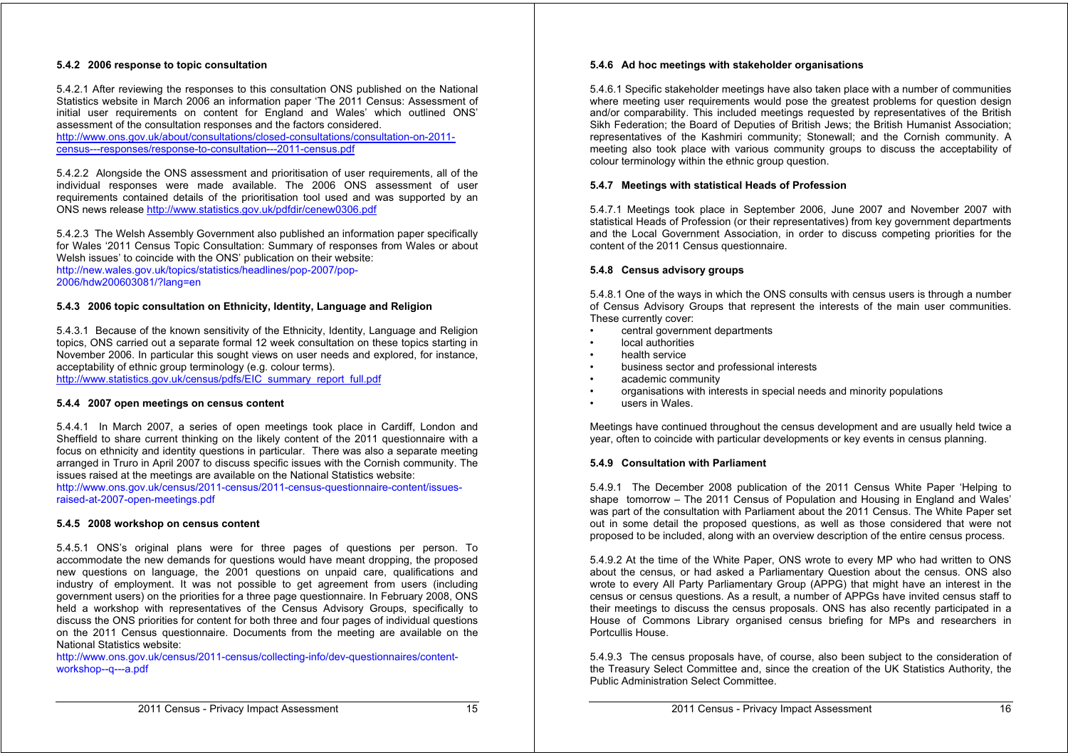#### **5.4.2 2006 response to topic consultation**

5.4.2.1 After reviewing the responses to this consultation ONS published on the National Statistics website in March 2006 an information paper 'The 2011 Census: Assessment of initial user requirements on content for England and Wales' which outlined ONS' assessment of the consultation responses and the factors considered.

http://www.ons.gov.uk/about/consultations/closed-consultations/consultation-on-2011 census---responses/response-to-consultation---2011-census.pdf

5.4.2.2 Alongside the ONS assessment and prioritisation of user requirements, all of the individual responses were made available. The 2006 ONS assessment of user requirements contained details of the prioritisation tool used and was supported by an ONS news release http://www.statistics.gov.uk/pdfdir/cenew0306.pdf

5.4.2.3 The Welsh Assembly Government also published an information paper specifically for Wales '2011 Census Topic Consultation: Summary of responses from Wales or about Welsh issues' to coincide with the ONS' publication on their website:

http://new.wales.gov.uk/topics/statistics/headlines/pop-2007/pop-2006/hdw200603081/?lang=en

#### **5.4.3 2006 topic consultation on Ethnicity, Identity, Language and Religion**

5.4.3.1 Because of the known sensitivity of the Ethnicity, Identity, Language and Religion topics, ONS carried out a separate formal 12 week consultation on these topics starting in November 2006. In particular this sought views on user needs and explored, for instance, acceptability of ethnic group terminology (e.g. colour terms). http://www.statistics.gov.uk/census/pdfs/EIC\_summary\_report\_full.pdf

#### **5.4.4 2007 open meetings on census content**

5.4.4.1 In March 2007, a series of open meetings took place in Cardiff, London and Sheffield to share current thinking on the likely content of the 2011 questionnaire with a focus on ethnicity and identity questions in particular. There was also a separate meeting arranged in Truro in April 2007 to discuss specific issues with the Cornish community. The issues raised at the meetings are available on the National Statistics website:

http://www.ons.gov.uk/census/2011-census/2011-census-questionnaire-content/issuesraised-at-2007-open-meetings.pdf

#### **5.4.5 2008 workshop on census content**

5.4.5.1 ONS's original plans were for three pages of questions per person. To accommodate the new demands for questions would have meant dropping, the proposed new questions on language, the 2001 questions on unpaid care, qualifications and industry of employment. It was not possible to get agreement from users (including government users) on the priorities for a three page questionnaire. In February 2008, ONS held a workshop with representatives of the Census Advisory Groups, specifically to discuss the ONS priorities for content for both three and four pages of individual questions on the 2011 Census questionnaire. Documents from the meeting are available on the National Statistics website:

http://www.ons.gov.uk/census/2011-census/collecting-info/dev-questionnaires/contentworkshop--q---a.pdf

#### **5.4.6 Ad hoc meetings with stakeholder organisations**

5.4.6.1 Specific stakeholder meetings have also taken place with a number of communities where meeting user requirements would pose the greatest problems for question design and/or comparability. This included meetings requested by representatives of the British Sikh Federation; the Board of Deputies of British Jews; the British Humanist Association; representatives of the Kashmiri community; Stonewall; and the Cornish community. A meeting also took place with various community groups to discuss the acceptability of colour terminology within the ethnic group question.

#### **5.4.7 Meetings with statistical Heads of Profession**

5.4.7.1 Meetings took place in September 2006, June 2007 and November 2007 with statistical Heads of Profession (or their representatives) from key government departments and the Local Government Association, in order to discuss competing priorities for the content of the 2011 Census questionnaire.

#### **5.4.8 Census advisory groups**

5.4.8.1 One of the ways in which the ONS consults with census users is through a number of Census Advisory Groups that represent the interests of the main user communities. These currently cover:

- central government departments
- local authorities
- health service
- business sector and professional interests
- academic community
- organisations with interests in special needs and minority populations
- users in Wales.

Meetings have continued throughout the census development and are usually held twice a year, often to coincide with particular developments or key events in census planning.

#### **5.4.9 Consultation with Parliament**

5.4.9.1 The December 2008 publication of the 2011 Census White Paper 'Helping to shape tomorrow – The 2011 Census of Population and Housing in England and Wales' was part of the consultation with Parliament about the 2011 Census. The White Paper set out in some detail the proposed questions, as well as those considered that were not proposed to be included, along with an overview description of the entire census process.

5.4.9.2 At the time of the White Paper, ONS wrote to every MP who had written to ONS about the census, or had asked a Parliamentary Question about the census. ONS also wrote to every All Party Parliamentary Group (APPG) that might have an interest in the census or census questions. As a result, a number of APPGs have invited census staff to their meetings to discuss the census proposals. ONS has also recently participated in a House of Commons Library organised census briefing for MPs and researchers in Portcullis House.

5.4.9.3 The census proposals have, of course, also been subject to the consideration of the Treasury Select Committee and, since the creation of the UK Statistics Authority, the Public Administration Select Committee.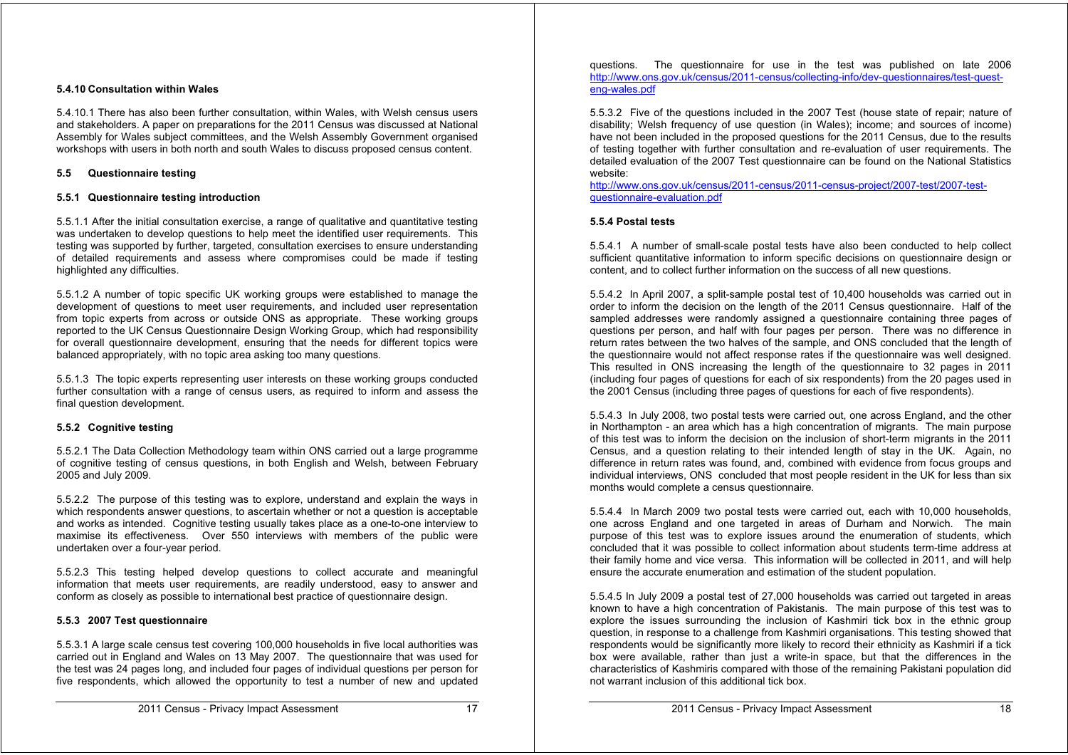#### **5.4.10 Consultation within Wales**

5.4.10.1 There has also been further consultation, within Wales, with Welsh census users and stakeholders. A paper on preparations for the 2011 Census was discussed at National Assembly for Wales subject committees, and the Welsh Assembly Government organised workshops with users in both north and south Wales to discuss proposed census content.

#### **5.5 Questionnaire testing**

#### **5.5.1 Questionnaire testing introduction**

5.5.1.1 After the initial consultation exercise, a range of qualitative and quantitative testing was undertaken to develop questions to help meet the identified user requirements. This testing was supported by further, targeted, consultation exercises to ensure understanding of detailed requirements and assess where compromises could be made if testing highlighted any difficulties.

5.5.1.2 A number of topic specific UK working groups were established to manage the development of questions to meet user requirements, and included user representation from topic experts from across or outside ONS as appropriate. These working groups reported to the UK Census Questionnaire Design Working Group, which had responsibility for overall questionnaire development, ensuring that the needs for different topics were balanced appropriately, with no topic area asking too many questions.

5.5.1.3 The topic experts representing user interests on these working groups conducted further consultation with a range of census users, as required to inform and assess the final question development.

#### **5.5.2 Cognitive testing**

5.5.2.1 The Data Collection Methodology team within ONS carried out a large programme of cognitive testing of census questions, in both English and Welsh, between February 2005 and July 2009.

5.5.2.2 The purpose of this testing was to explore, understand and explain the ways in which respondents answer questions, to ascertain whether or not a question is acceptable and works as intended. Cognitive testing usually takes place as a one-to-one interview to maximise its effectiveness. Over 550 interviews with members of the public were undertaken over a four-year period.

5.5.2.3 This testing helped develop questions to collect accurate and meaningful information that meets user requirements, are readily understood, easy to answer and conform as closely as possible to international best practice of questionnaire design.

#### **5.5.3 2007 Test questionnaire**

5.5.3.1 A large scale census test covering 100,000 households in five local authorities was carried out in England and Wales on 13 May 2007. The questionnaire that was used for the test was 24 pages long, and included four pages of individual questions per person for five respondents, which allowed the opportunity to test a number of new and updated

questions. The questionnaire for use in the test was published on late 2006 http://www.ons.gov.uk/census/2011-census/collecting-info/dev-questionnaires/test-questeng-wales.pdf

5.5.3.2 Five of the questions included in the 2007 Test (house state of repair; nature of disability; Welsh frequency of use question (in Wales); income; and sources of income) have not been included in the proposed questions for the 2011 Census, due to the results of testing together with further consultation and re-evaluation of user requirements. The detailed evaluation of the 2007 Test questionnaire can be found on the National Statistics website:

http://www.ons.gov.uk/census/2011-census/2011-census-project/2007-test/2007-testquestionnaire-evaluation.pdf

#### **5.5.4 Postal tests**

5.5.4.1 A number of small-scale postal tests have also been conducted to help collect sufficient quantitative information to inform specific decisions on questionnaire design or content, and to collect further information on the success of all new questions.

5.5.4.2 In April 2007, a split-sample postal test of 10,400 households was carried out in order to inform the decision on the length of the 2011 Census questionnaire. Half of the sampled addresses were randomly assigned a questionnaire containing three pages of questions per person, and half with four pages per person. There was no difference in return rates between the two halves of the sample, and ONS concluded that the length of the questionnaire would not affect response rates if the questionnaire was well designed. This resulted in ONS increasing the length of the questionnaire to 32 pages in 2011 (including four pages of questions for each of six respondents) from the 20 pages used in the 2001 Census (including three pages of questions for each of five respondents).

5.5.4.3 In July 2008, two postal tests were carried out, one across England, and the other in Northampton - an area which has a high concentration of migrants. The main purpose of this test was to inform the decision on the inclusion of short-term migrants in the 2011 Census, and a question relating to their intended length of stay in the UK. Again, no difference in return rates was found, and, combined with evidence from focus groups and individual interviews, ONS concluded that most people resident in the UK for less than six months would complete a census questionnaire.

5.5.4.4 In March 2009 two postal tests were carried out, each with 10,000 households, one across England and one targeted in areas of Durham and Norwich. The main purpose of this test was to explore issues around the enumeration of students, which concluded that it was possible to collect information about students term-time address at their family home and vice versa. This information will be collected in 2011, and will help ensure the accurate enumeration and estimation of the student population.

5.5.4.5 In July 2009 a postal test of 27,000 households was carried out targeted in areas known to have a high concentration of Pakistanis. The main purpose of this test was to explore the issues surrounding the inclusion of Kashmiri tick box in the ethnic group question, in response to a challenge from Kashmiri organisations. This testing showed that respondents would be significantly more likely to record their ethnicity as Kashmiri if a tick box were available, rather than just a write-in space, but that the differences in the characteristics of Kashmiris compared with those of the remaining Pakistani population did not warrant inclusion of this additional tick box.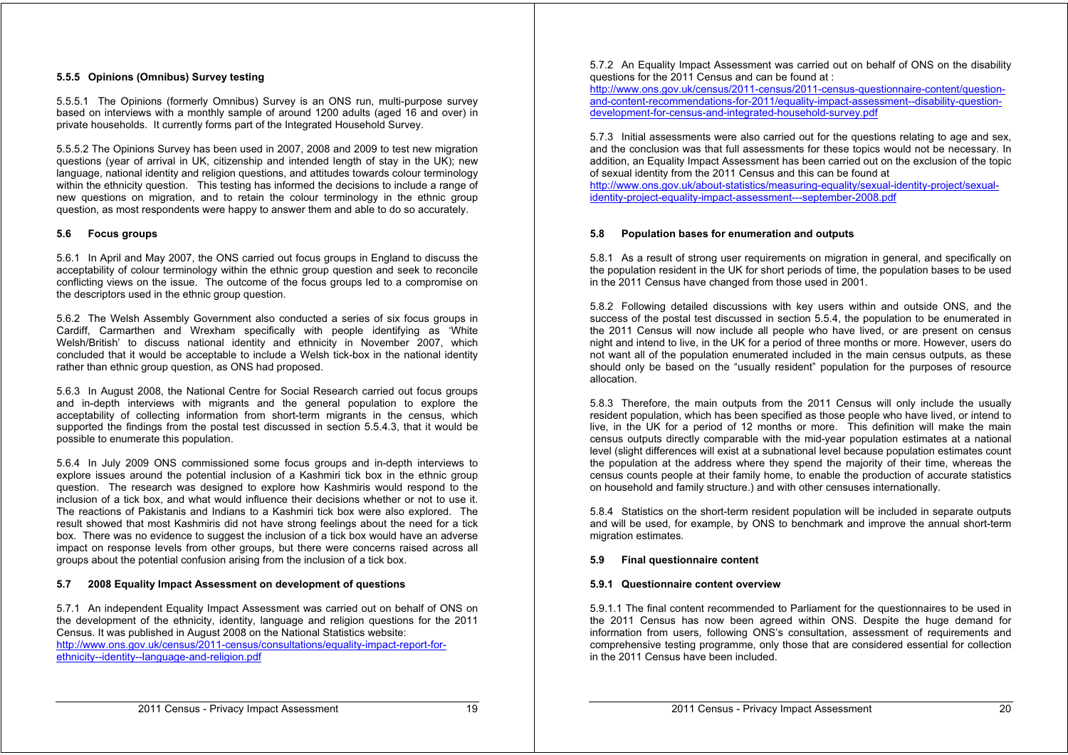#### **5.5.5 Opinions (Omnibus) Survey testing**

5.5.5.1 The Opinions (formerly Omnibus) Survey is an ONS run, multi-purpose survey based on interviews with a monthly sample of around 1200 adults (aged 16 and over) in private households. It currently forms part of the Integrated Household Survey.

5.5.5.2 The Opinions Survey has been used in 2007, 2008 and 2009 to test new migration questions (year of arrival in UK, citizenship and intended length of stay in the UK); new language, national identity and religion questions, and attitudes towards colour terminology within the ethnicity question. This testing has informed the decisions to include a range of new questions on migration, and to retain the colour terminology in the ethnic group question, as most respondents were happy to answer them and able to do so accurately.

#### **5.6 Focus groups**

5.6.1 In April and May 2007, the ONS carried out focus groups in England to discuss the acceptability of colour terminology within the ethnic group question and seek to reconcile conflicting views on the issue. The outcome of the focus groups led to a compromise on the descriptors used in the ethnic group question.

5.6.2 The Welsh Assembly Government also conducted a series of six focus groups in Cardiff, Carmarthen and Wrexham specifically with people identifying as 'White Welsh/British' to discuss national identity and ethnicity in November 2007, which concluded that it would be acceptable to include a Welsh tick-box in the national identity rather than ethnic group question, as ONS had proposed.

5.6.3 In August 2008, the National Centre for Social Research carried out focus groups and in-depth interviews with migrants and the general population to explore the acceptability of collecting information from short-term migrants in the census, which supported the findings from the postal test discussed in section 5.5.4.3, that it would be possible to enumerate this population.

5.6.4 In July 2009 ONS commissioned some focus groups and in-depth interviews to explore issues around the potential inclusion of a Kashmiri tick box in the ethnic group question. The research was designed to explore how Kashmiris would respond to the inclusion of a tick box, and what would influence their decisions whether or not to use it. The reactions of Pakistanis and Indians to a Kashmiri tick box were also explored. The result showed that most Kashmiris did not have strong feelings about the need for a tick box. There was no evidence to suggest the inclusion of a tick box would have an adverse impact on response levels from other groups, but there were concerns raised across all groups about the potential confusion arising from the inclusion of a tick box.

#### **5.7 2008 Equality Impact Assessment on development of questions**

5.7.1 An independent Equality Impact Assessment was carried out on behalf of ONS on the development of the ethnicity, identity, language and religion questions for the 2011 Census. It was published in August 2008 on the National Statistics website: http://www.ons.gov.uk/census/2011-census/consultations/equality-impact-report-forethnicity--identity--language-and-religion.pdf

5.7.2 An Equality Impact Assessment was carried out on behalf of ONS on the disability questions for the 2011 Census and can be found at :

http://www.ons.gov.uk/census/2011-census/2011-census-questionnaire-content/questionand-content-recommendations-for-2011/equality-impact-assessment--disability-questiondevelopment-for-census-and-integrated-household-survey.pdf

5.7.3 Initial assessments were also carried out for the questions relating to age and sex, and the conclusion was that full assessments for these topics would not be necessary. In addition, an Equality Impact Assessment has been carried out on the exclusion of the topic of sexual identity from the 2011 Census and this can be found at

http://www.ons.gov.uk/about-statistics/measuring-equality/sexual-identity-project/sexualidentity-project-equality-impact-assessment---september-2008.pdf

#### **5.8 Population bases for enumeration and outputs**

5.8.1 As a result of strong user requirements on migration in general, and specifically on the population resident in the UK for short periods of time, the population bases to be used in the 2011 Census have changed from those used in 2001.

5.8.2 Following detailed discussions with key users within and outside ONS, and the success of the postal test discussed in section 5.5.4, the population to be enumerated in the 2011 Census will now include all people who have lived, or are present on census night and intend to live, in the UK for a period of three months or more. However, users do not want all of the population enumerated included in the main census outputs, as these should only be based on the "usually resident" population for the purposes of resource allocation.

5.8.3 Therefore, the main outputs from the 2011 Census will only include the usually resident population, which has been specified as those people who have lived, or intend to live, in the UK for a period of 12 months or more. This definition will make the main census outputs directly comparable with the mid-year population estimates at a national level (slight differences will exist at a subnational level because population estimates count the population at the address where they spend the majority of their time, whereas the census counts people at their family home, to enable the production of accurate statistics on household and family structure.) and with other censuses internationally.

5.8.4 Statistics on the short-term resident population will be included in separate outputs and will be used, for example, by ONS to benchmark and improve the annual short-term migration estimates.

#### **5.9 Final questionnaire content**

#### **5.9.1 Questionnaire content overview**

5.9.1.1 The final content recommended to Parliament for the questionnaires to be used in the 2011 Census has now been agreed within ONS. Despite the huge demand for information from users, following ONS's consultation, assessment of requirements and comprehensive testing programme, only those that are considered essential for collection in the 2011 Census have been included.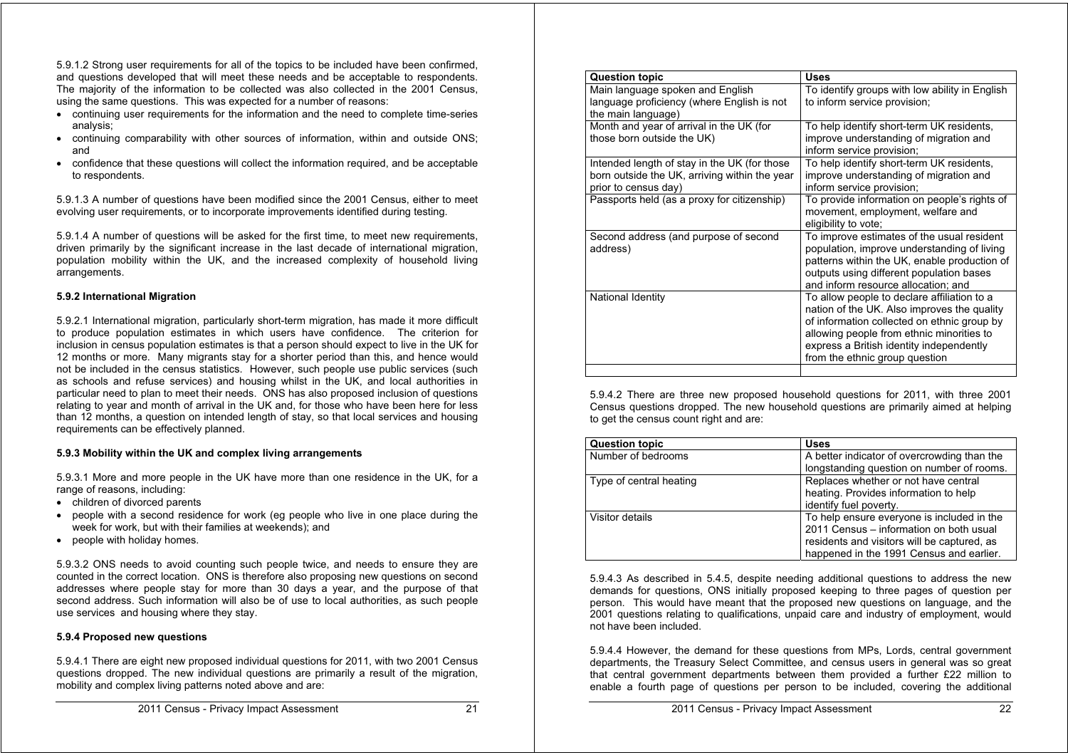5.9.1.2 Strong user requirements for all of the topics to be included have been confirmed, and questions developed that will meet these needs and be acceptable to respondents. The majority of the information to be collected was also collected in the 2001 Census, using the same questions. This was expected for a number of reasons:

- continuing user requirements for the information and the need to complete time-series analysis;
- continuing comparability with other sources of information, within and outside ONS; and
- confidence that these questions will collect the information required, and be acceptable to respondents.

5.9.1.3 A number of questions have been modified since the 2001 Census, either to meet evolving user requirements, or to incorporate improvements identified during testing.

5.9.1.4 A number of questions will be asked for the first time, to meet new requirements, driven primarily by the significant increase in the last decade of international migration, population mobility within the UK, and the increased complexity of household living arrangements.

#### **5.9.2 International Migration**

5.9.2.1 International migration, particularly short-term migration, has made it more difficult to produce population estimates in which users have confidence. The criterion for inclusion in census population estimates is that a person should expect to live in the UK for 12 months or more. Many migrants stay for a shorter period than this, and hence would not be included in the census statistics. However, such people use public services (such as schools and refuse services) and housing whilst in the UK, and local authorities in particular need to plan to meet their needs. ONS has also proposed inclusion of questions relating to year and month of arrival in the UK and, for those who have been here for less than 12 months, a question on intended length of stay, so that local services and housing requirements can be effectively planned.

### **5.9.3 Mobility within the UK and complex living arrangements**

5.9.3.1 More and more people in the UK have more than one residence in the UK, for a range of reasons, including:

- children of divorced parents
- people with a second residence for work (eg people who live in one place during the week for work, but with their families at weekends); and
- people with holiday homes.

5.9.3.2 ONS needs to avoid counting such people twice, and needs to ensure they are counted in the correct location. ONS is therefore also proposing new questions on second addresses where people stay for more than 30 days a year, and the purpose of that second address. Such information will also be of use to local authorities, as such people use services and housing where they stay.

#### **5.9.4 Proposed new questions**

5.9.4.1 There are eight new proposed individual questions for 2011, with two 2001 Census questions dropped. The new individual questions are primarily a result of the migration, mobility and complex living patterns noted above and are:

| <b>Question topic</b>                                                                                                 | <b>Uses</b>                                                                                                                                                                                                                                                          |
|-----------------------------------------------------------------------------------------------------------------------|----------------------------------------------------------------------------------------------------------------------------------------------------------------------------------------------------------------------------------------------------------------------|
| Main language spoken and English<br>language proficiency (where English is not<br>the main language)                  | To identify groups with low ability in English<br>to inform service provision;                                                                                                                                                                                       |
| Month and year of arrival in the UK (for<br>those born outside the UK)                                                | To help identify short-term UK residents,<br>improve understanding of migration and<br>inform service provision;                                                                                                                                                     |
| Intended length of stay in the UK (for those<br>born outside the UK, arriving within the year<br>prior to census day) | To help identify short-term UK residents,<br>improve understanding of migration and<br>inform service provision;                                                                                                                                                     |
| Passports held (as a proxy for citizenship)                                                                           | To provide information on people's rights of<br>movement, employment, welfare and<br>eligibility to vote;                                                                                                                                                            |
| Second address (and purpose of second<br>address)                                                                     | To improve estimates of the usual resident<br>population, improve understanding of living<br>patterns within the UK, enable production of<br>outputs using different population bases<br>and inform resource allocation; and                                         |
| National Identity                                                                                                     | To allow people to declare affiliation to a<br>nation of the UK. Also improves the quality<br>of information collected on ethnic group by<br>allowing people from ethnic minorities to<br>express a British identity independently<br>from the ethnic group question |
|                                                                                                                       |                                                                                                                                                                                                                                                                      |

5.9.4.2 There are three new proposed household questions for 2011, with three 2001 Census questions dropped. The new household questions are primarily aimed at helping to get the census count right and are:

| <b>Question topic</b>   | <b>Uses</b>                                 |
|-------------------------|---------------------------------------------|
| Number of bedrooms      | A better indicator of overcrowding than the |
|                         | longstanding question on number of rooms.   |
| Type of central heating | Replaces whether or not have central        |
|                         | heating. Provides information to help       |
|                         | identify fuel poverty.                      |
| Visitor details         | To help ensure everyone is included in the  |
|                         | 2011 Census - information on both usual     |
|                         | residents and visitors will be captured, as |
|                         | happened in the 1991 Census and earlier.    |

5.9.4.3 As described in 5.4.5, despite needing additional questions to address the new demands for questions, ONS initially proposed keeping to three pages of question per person. This would have meant that the proposed new questions on language, and the 2001 questions relating to qualifications, unpaid care and industry of employment, would not have been included.

5.9.4.4 However, the demand for these questions from MPs, Lords, central government departments, the Treasury Select Committee, and census users in general was so great that central government departments between them provided a further £22 million to enable a fourth page of questions per person to be included, covering the additional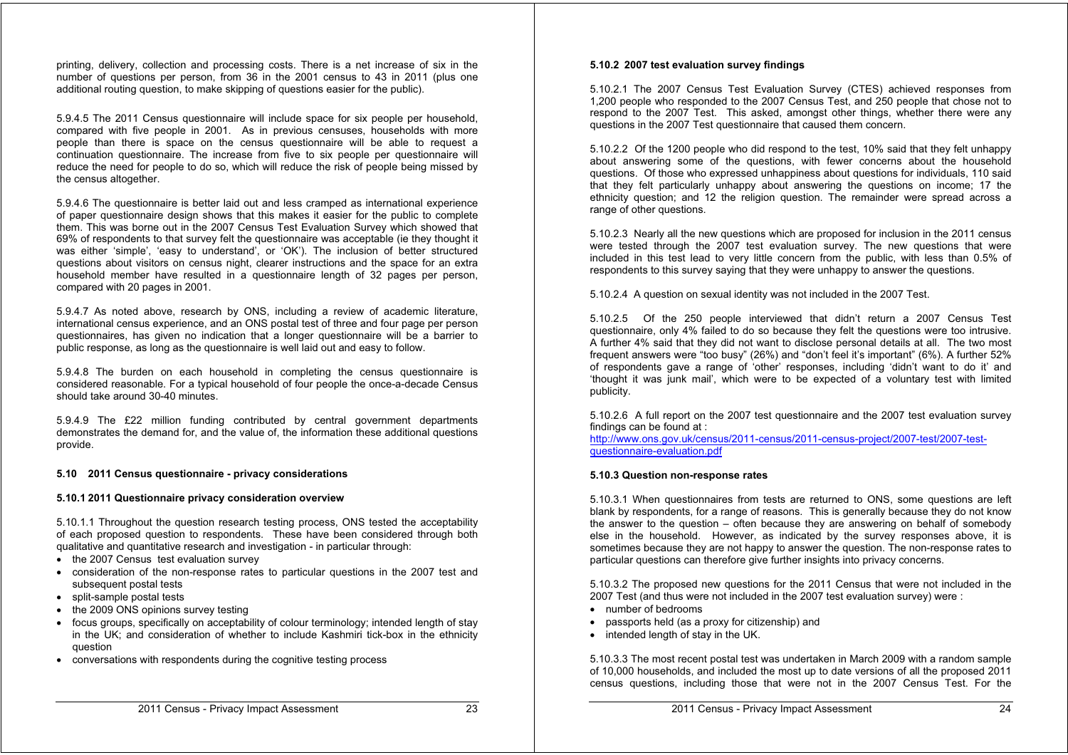printing, delivery, collection and processing costs. There is a net increase of six in the number of questions per person, from 36 in the 2001 census to 43 in 2011 (plus one additional routing question, to make skipping of questions easier for the public).

5.9.4.5 The 2011 Census questionnaire will include space for six people per household, compared with five people in 2001. As in previous censuses, households with more people than there is space on the census questionnaire will be able to request a continuation questionnaire. The increase from five to six people per questionnaire will reduce the need for people to do so, which will reduce the risk of people being missed by the census altogether.

5.9.4.6 The questionnaire is better laid out and less cramped as international experience of paper questionnaire design shows that this makes it easier for the public to complete them. This was borne out in the 2007 Census Test Evaluation Survey which showed that 69% of respondents to that survey felt the questionnaire was acceptable (ie they thought it was either 'simple', 'easy to understand', or 'OK'). The inclusion of better structured questions about visitors on census night, clearer instructions and the space for an extra household member have resulted in a questionnaire length of 32 pages per person, compared with 20 pages in 2001.

5.9.4.7 As noted above, research by ONS, including a review of academic literature, international census experience, and an ONS postal test of three and four page per person questionnaires, has given no indication that a longer questionnaire will be a barrier to public response, as long as the questionnaire is well laid out and easy to follow.

5.9.4.8 The burden on each household in completing the census questionnaire is considered reasonable. For a typical household of four people the once-a-decade Census should take around 30-40 minutes.

5.9.4.9 The £22 million funding contributed by central government departments demonstrates the demand for, and the value of, the information these additional questions provide.

#### **5.10 2011 Census questionnaire - privacy considerations**

#### **5.10.1 2011 Questionnaire privacy consideration overview**

5.10.1.1 Throughout the question research testing process, ONS tested the acceptability of each proposed question to respondents. These have been considered through both qualitative and quantitative research and investigation - in particular through:

- the 2007 Census test evaluation survey
- consideration of the non-response rates to particular questions in the 2007 test and subsequent postal tests
- split-sample postal tests
- the 2009 ONS opinions survey testing
- focus groups, specifically on acceptability of colour terminology; intended length of stay in the UK; and consideration of whether to include Kashmiri tick-box in the ethnicity question
- conversations with respondents during the cognitive testing process

#### **5.10.2 2007 test evaluation survey findings**

5.10.2.1 The 2007 Census Test Evaluation Survey (CTES) achieved responses from 1,200 people who responded to the 2007 Census Test, and 250 people that chose not to respond to the 2007 Test. This asked, amongst other things, whether there were any questions in the 2007 Test questionnaire that caused them concern.

5.10.2.2 Of the 1200 people who did respond to the test, 10% said that they felt unhappy about answering some of the questions, with fewer concerns about the household questions. Of those who expressed unhappiness about questions for individuals, 110 said that they felt particularly unhappy about answering the questions on income; 17 the ethnicity question; and 12 the religion question. The remainder were spread across a range of other questions.

5.10.2.3 Nearly all the new questions which are proposed for inclusion in the 2011 census were tested through the 2007 test evaluation survey. The new questions that were included in this test lead to very little concern from the public, with less than 0.5% of respondents to this survey saying that they were unhappy to answer the questions.

5.10.2.4 A question on sexual identity was not included in the 2007 Test.

5.10.2.5 Of the 250 people interviewed that didn't return a 2007 Census Test questionnaire, only 4% failed to do so because they felt the questions were too intrusive. A further 4% said that they did not want to disclose personal details at all. The two most frequent answers were "too busy" (26%) and "don't feel it's important" (6%). A further 52% of respondents gave a range of 'other' responses, including 'didn't want to do it' and 'thought it was junk mail', which were to be expected of a voluntary test with limited publicity.

5.10.2.6 A full report on the 2007 test questionnaire and the 2007 test evaluation survey findings can be found at :

http://www.ons.gov.uk/census/2011-census/2011-census-project/2007-test/2007-testquestionnaire-evaluation.pdf

#### **5.10.3 Question non-response rates**

5.10.3.1 When questionnaires from tests are returned to ONS, some questions are left blank by respondents, for a range of reasons. This is generally because they do not know the answer to the question – often because they are answering on behalf of somebody else in the household. However, as indicated by the survey responses above, it is sometimes because they are not happy to answer the question. The non-response rates to particular questions can therefore give further insights into privacy concerns.

5.10.3.2 The proposed new questions for the 2011 Census that were not included in the 2007 Test (and thus were not included in the 2007 test evaluation survey) were :

- number of bedrooms
- passports held (as a proxy for citizenship) and
- intended length of stay in the UK.

5.10.3.3 The most recent postal test was undertaken in March 2009 with a random sample of 10,000 households, and included the most up to date versions of all the proposed 2011 census questions, including those that were not in the 2007 Census Test. For the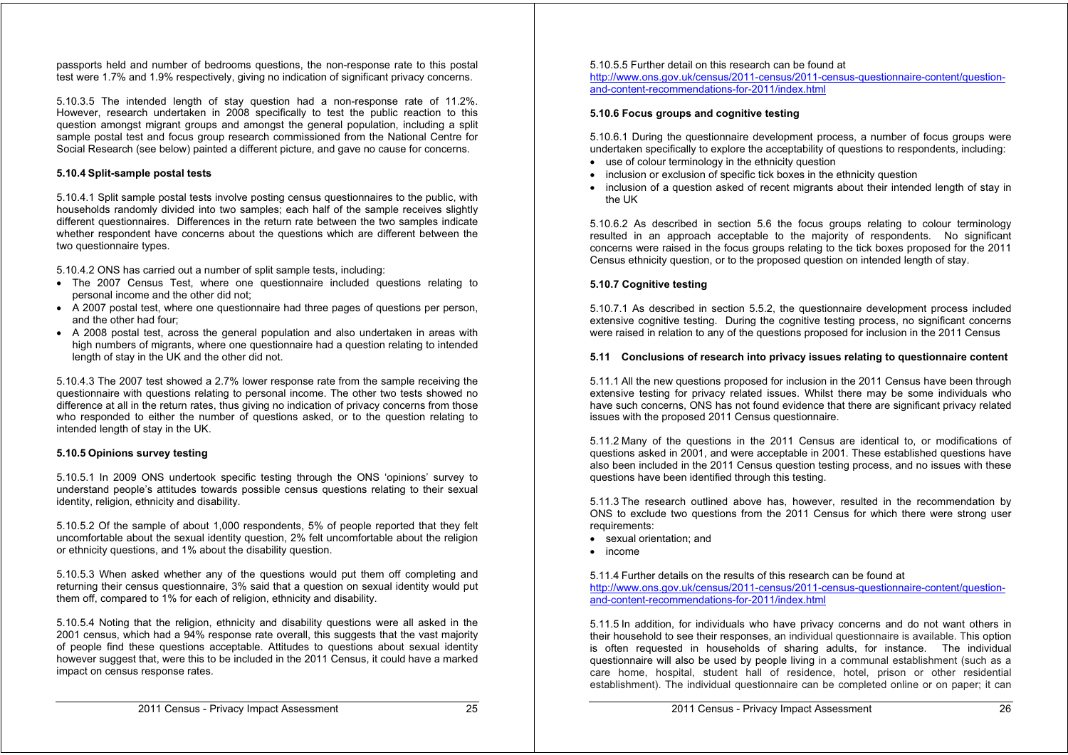passports held and number of bedrooms questions, the non-response rate to this postal test were 1.7% and 1.9% respectively, giving no indication of significant privacy concerns.

5.10.3.5 The intended length of stay question had a non-response rate of 11.2%. However, research undertaken in 2008 specifically to test the public reaction to this question amongst migrant groups and amongst the general population, including a split sample postal test and focus group research commissioned from the National Centre for Social Research (see below) painted a different picture, and gave no cause for concerns.

#### **5.10.4 Split-sample postal tests**

5.10.4.1 Split sample postal tests involve posting census questionnaires to the public, with households randomly divided into two samples; each half of the sample receives slightly different questionnaires. Differences in the return rate between the two samples indicate whether respondent have concerns about the questions which are different between the two questionnaire types.

5.10.4.2 ONS has carried out a number of split sample tests, including:

- The 2007 Census Test, where one questionnaire included questions relating to personal income and the other did not;
- A 2007 postal test, where one questionnaire had three pages of questions per person, and the other had four;
- A 2008 postal test, across the general population and also undertaken in areas with high numbers of migrants, where one questionnaire had a question relating to intended length of stay in the UK and the other did not.

5.10.4.3 The 2007 test showed a 2.7% lower response rate from the sample receiving the questionnaire with questions relating to personal income. The other two tests showed no difference at all in the return rates, thus giving no indication of privacy concerns from those who responded to either the number of questions asked, or to the question relating to intended length of stay in the UK.

#### **5.10.5 Opinions survey testing**

5.10.5.1 In 2009 ONS undertook specific testing through the ONS 'opinions' survey to understand people's attitudes towards possible census questions relating to their sexual identity, religion, ethnicity and disability.

5.10.5.2 Of the sample of about 1,000 respondents, 5% of people reported that they felt uncomfortable about the sexual identity question, 2% felt uncomfortable about the religion or ethnicity questions, and 1% about the disability question.

5.10.5.3 When asked whether any of the questions would put them off completing and returning their census questionnaire, 3% said that a question on sexual identity would put them off, compared to 1% for each of religion, ethnicity and disability.

5.10.5.4 Noting that the religion, ethnicity and disability questions were all asked in the 2001 census, which had a 94% response rate overall, this suggests that the vast majority of people find these questions acceptable. Attitudes to questions about sexual identity however suggest that, were this to be included in the 2011 Census, it could have a marked impact on census response rates.

5.10.5.5 Further detail on this research can be found at

http://www.ons.gov.uk/census/2011-census/2011-census-questionnaire-content/questionand-content-recommendations-for-2011/index.html

#### **5.10.6 Focus groups and cognitive testing**

5.10.6.1 During the questionnaire development process, a number of focus groups were undertaken specifically to explore the acceptability of questions to respondents, including:

- use of colour terminology in the ethnicity question
- inclusion or exclusion of specific tick boxes in the ethnicity question
- inclusion of a question asked of recent migrants about their intended length of stay in the UK

5.10.6.2 As described in section 5.6 the focus groups relating to colour terminology resulted in an approach acceptable to the majority of respondents. No significant concerns were raised in the focus groups relating to the tick boxes proposed for the 2011 Census ethnicity question, or to the proposed question on intended length of stay.

#### **5.10.7 Cognitive testing**

5.10.7.1 As described in section 5.5.2, the questionnaire development process included extensive cognitive testing. During the cognitive testing process, no significant concerns were raised in relation to any of the questions proposed for inclusion in the 2011 Census

#### **5.11 Conclusions of research into privacy issues relating to questionnaire content**

5.11.1 All the new questions proposed for inclusion in the 2011 Census have been through extensive testing for privacy related issues. Whilst there may be some individuals who have such concerns, ONS has not found evidence that there are significant privacy related issues with the proposed 2011 Census questionnaire.

5.11.2 Many of the questions in the 2011 Census are identical to, or modifications of questions asked in 2001, and were acceptable in 2001. These established questions have also been included in the 2011 Census question testing process, and no issues with these questions have been identified through this testing.

5.11.3 The research outlined above has, however, resulted in the recommendation by ONS to exclude two questions from the 2011 Census for which there were strong user requirements:

- sexual orientation; and
- income

5.11.4 Further details on the results of this research can be found at http://www.ons.gov.uk/census/2011-census/2011-census-questionnaire-content/questionand-content-recommendations-for-2011/index.html

5.11.5 In addition, for individuals who have privacy concerns and do not want others in their household to see their responses, an individual questionnaire is available. This option is often requested in households of sharing adults, for instance. The individual questionnaire will also be used by people living in a communal establishment (such as a care home, hospital, student hall of residence, hotel, prison or other residential establishment). The individual questionnaire can be completed online or on paper; it can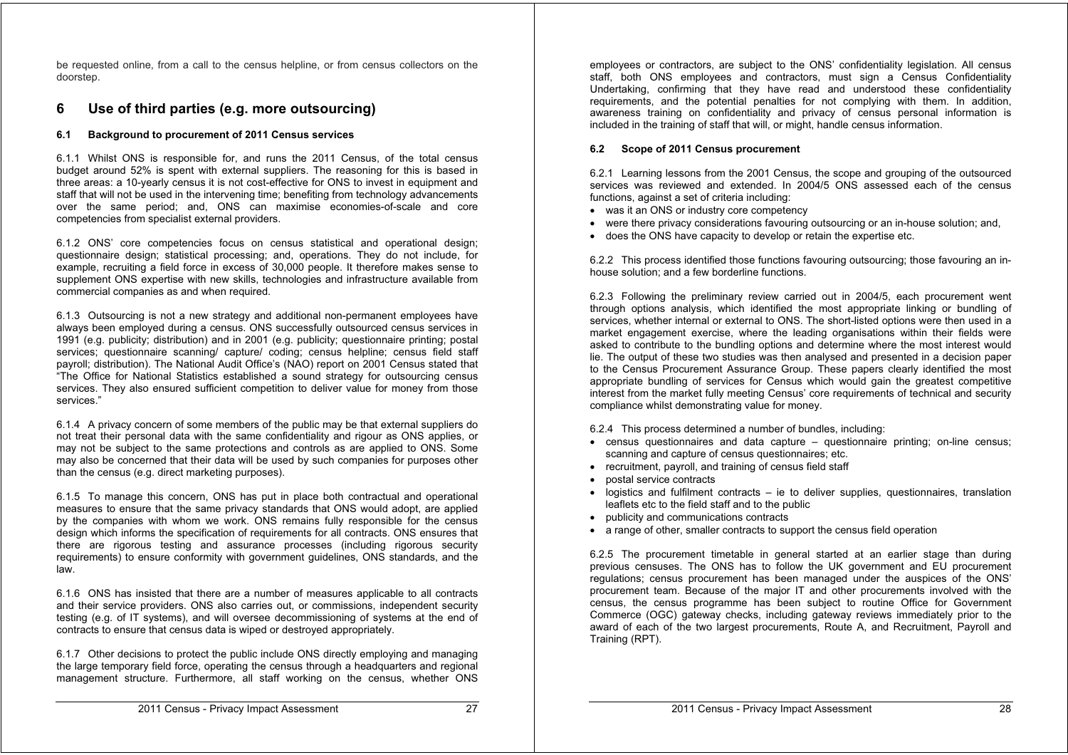be requested online, from a call to the census helpline, or from census collectors on the doorstep.

## **6 Use of third parties (e.g. more outsourcing)**

#### **6.1 Background to procurement of 2011 Census services**

6.1.1 Whilst ONS is responsible for, and runs the 2011 Census, of the total census budget around 52% is spent with external suppliers. The reasoning for this is based in three areas: a 10-yearly census it is not cost-effective for ONS to invest in equipment and staff that will not be used in the intervening time; benefiting from technology advancements over the same period; and, ONS can maximise economies-of-scale and core competencies from specialist external providers.

6.1.2 ONS' core competencies focus on census statistical and operational design; questionnaire design; statistical processing; and, operations. They do not include, for example, recruiting a field force in excess of 30,000 people. It therefore makes sense to supplement ONS expertise with new skills, technologies and infrastructure available from commercial companies as and when required.

6.1.3 Outsourcing is not a new strategy and additional non-permanent employees have always been employed during a census. ONS successfully outsourced census services in 1991 (e.g. publicity; distribution) and in 2001 (e.g. publicity; questionnaire printing; postal services; questionnaire scanning/ capture/ coding; census helpline; census field staff payroll; distribution). The National Audit Office's (NAO) report on 2001 Census stated that "The Office for National Statistics established a sound strategy for outsourcing census services. They also ensured sufficient competition to deliver value for money from those services."

6.1.4 A privacy concern of some members of the public may be that external suppliers do not treat their personal data with the same confidentiality and rigour as ONS applies, or may not be subject to the same protections and controls as are applied to ONS. Some may also be concerned that their data will be used by such companies for purposes other than the census (e.g. direct marketing purposes).

6.1.5 To manage this concern, ONS has put in place both contractual and operational measures to ensure that the same privacy standards that ONS would adopt, are applied by the companies with whom we work. ONS remains fully responsible for the census design which informs the specification of requirements for all contracts. ONS ensures that there are rigorous testing and assurance processes (including rigorous security requirements) to ensure conformity with government guidelines, ONS standards, and the law.

6.1.6 ONS has insisted that there are a number of measures applicable to all contracts and their service providers. ONS also carries out, or commissions, independent security testing (e.g. of IT systems), and will oversee decommissioning of systems at the end of contracts to ensure that census data is wiped or destroyed appropriately.

6.1.7 Other decisions to protect the public include ONS directly employing and managing the large temporary field force, operating the census through a headquarters and regional management structure. Furthermore, all staff working on the census, whether ONS

employees or contractors, are subject to the ONS' confidentiality legislation. All census staff, both ONS employees and contractors, must sign a Census Confidentiality Undertaking, confirming that they have read and understood these confidentiality requirements, and the potential penalties for not complying with them. In addition, awareness training on confidentiality and privacy of census personal information is included in the training of staff that will, or might, handle census information.

#### **6.2 Scope of 2011 Census procurement**

6.2.1 Learning lessons from the 2001 Census, the scope and grouping of the outsourced services was reviewed and extended. In 2004/5 ONS assessed each of the census functions, against a set of criteria including:

- was it an ONS or industry core competency
- were there privacy considerations favouring outsourcing or an in-house solution; and,
- does the ONS have capacity to develop or retain the expertise etc.

6.2.2 This process identified those functions favouring outsourcing; those favouring an inhouse solution; and a few borderline functions.

6.2.3 Following the preliminary review carried out in 2004/5, each procurement went through options analysis, which identified the most appropriate linking or bundling of services, whether internal or external to ONS. The short-listed options were then used in a market engagement exercise, where the leading organisations within their fields were asked to contribute to the bundling options and determine where the most interest would lie. The output of these two studies was then analysed and presented in a decision paper to the Census Procurement Assurance Group. These papers clearly identified the most appropriate bundling of services for Census which would gain the greatest competitive interest from the market fully meeting Census' core requirements of technical and security compliance whilst demonstrating value for money.

#### 6.2.4 This process determined a number of bundles, including:

- census questionnaires and data capture questionnaire printing; on-line census; scanning and capture of census questionnaires; etc.
- recruitment, payroll, and training of census field staff
- postal service contracts
- $\bullet$  logistics and fulfilment contracts ie to deliver supplies, questionnaires, translation leaflets etc to the field staff and to the public
- publicity and communications contracts
- a range of other, smaller contracts to support the census field operation

6.2.5 The procurement timetable in general started at an earlier stage than during previous censuses. The ONS has to follow the UK government and EU procurement regulations; census procurement has been managed under the auspices of the ONS' procurement team. Because of the major IT and other procurements involved with the census, the census programme has been subject to routine Office for Government Commerce (OGC) gateway checks, including gateway reviews immediately prior to the award of each of the two largest procurements, Route A, and Recruitment, Payroll and Training (RPT).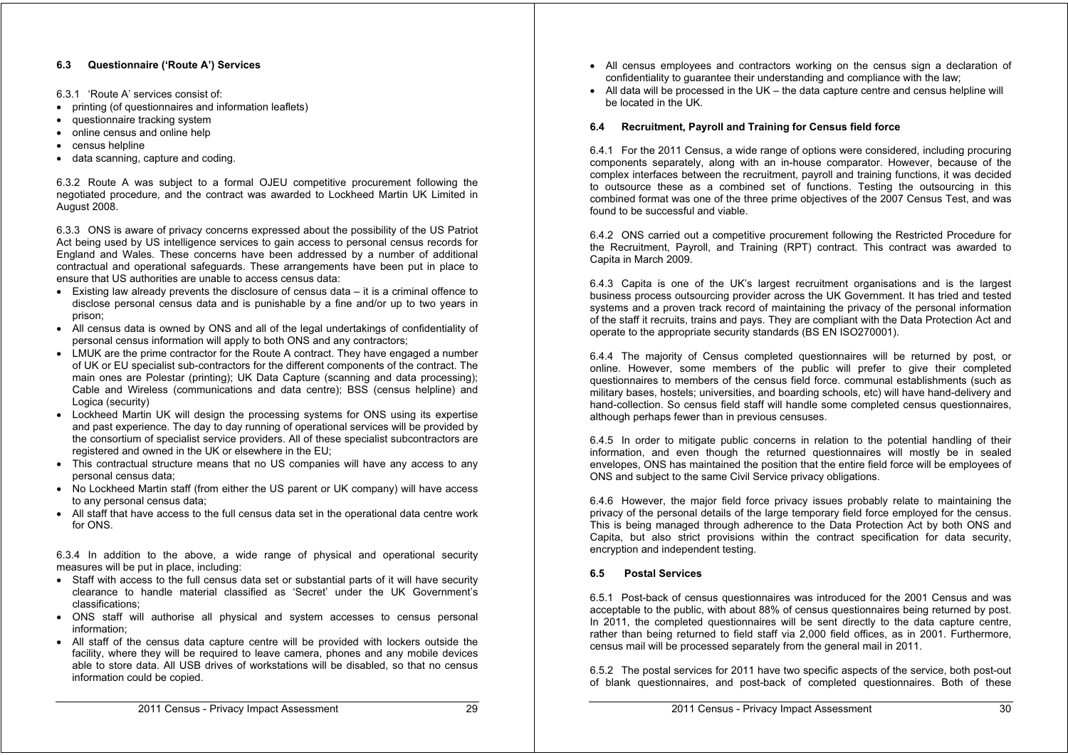#### **6.3 Questionnaire ('Route A') Services**

- 6.3.1 'Route A' services consist of:
- printing (of questionnaires and information leaflets)
- questionnaire tracking system
- online census and online help
- census helpline
- data scanning, capture and coding.

6.3.2 Route A was subject to a formal OJEU competitive procurement following the negotiated procedure, and the contract was awarded to Lockheed Martin UK Limited in August 2008.

6.3.3 ONS is aware of privacy concerns expressed about the possibility of the US Patriot Act being used by US intelligence services to gain access to personal census records for England and Wales. These concerns have been addressed by a number of additional contractual and operational safeguards. These arrangements have been put in place to ensure that US authorities are unable to access census data:

- Existing law already prevents the disclosure of census data it is a criminal offence to disclose personal census data and is punishable by a fine and/or up to two years in prison;
- All census data is owned by ONS and all of the legal undertakings of confidentiality of personal census information will apply to both ONS and any contractors;
- LMUK are the prime contractor for the Route A contract. They have engaged a number of UK or EU specialist sub-contractors for the different components of the contract. The main ones are Polestar (printing); UK Data Capture (scanning and data processing); Cable and Wireless (communications and data centre); BSS (census helpline) and Logica (security)
- Lockheed Martin UK will design the processing systems for ONS using its expertise and past experience. The day to day running of operational services will be provided by the consortium of specialist service providers. All of these specialist subcontractors are registered and owned in the UK or elsewhere in the EU;
- This contractual structure means that no US companies will have any access to any personal census data;
- No Lockheed Martin staff (from either the US parent or UK company) will have access to any personal census data;
- All staff that have access to the full census data set in the operational data centre work for ONS.

6.3.4 In addition to the above, a wide range of physical and operational security measures will be put in place, including:

- Staff with access to the full census data set or substantial parts of it will have security clearance to handle material classified as 'Secret' under the UK Government's classifications;
- ONS staff will authorise all physical and system accesses to census personal information;
- All staff of the census data capture centre will be provided with lockers outside the facility, where they will be required to leave camera, phones and any mobile devices able to store data. All USB drives of workstations will be disabled, so that no census information could be copied.
- All census employees and contractors working on the census sign a declaration of confidentiality to guarantee their understanding and compliance with the law;
- $\bullet$  All data will be processed in the UK the data capture centre and census helpline will be located in the UK.

#### **6.4 Recruitment, Payroll and Training for Census field force**

6.4.1 For the 2011 Census, a wide range of options were considered, including procuring components separately, along with an in-house comparator. However, because of the complex interfaces between the recruitment, payroll and training functions, it was decided to outsource these as a combined set of functions. Testing the outsourcing in this combined format was one of the three prime objectives of the 2007 Census Test, and was found to be successful and viable.

6.4.2 ONS carried out a competitive procurement following the Restricted Procedure for the Recruitment, Payroll, and Training (RPT) contract. This contract was awarded to Capita in March 2009.

6.4.3 Capita is one of the UK's largest recruitment organisations and is the largest business process outsourcing provider across the UK Government. It has tried and tested systems and a proven track record of maintaining the privacy of the personal information of the staff it recruits, trains and pays. They are compliant with the Data Protection Act and operate to the appropriate security standards (BS EN ISO270001).

6.4.4 The majority of Census completed questionnaires will be returned by post, or online. However, some members of the public will prefer to give their completed questionnaires to members of the census field force. communal establishments (such as military bases, hostels; universities, and boarding schools, etc) will have hand-delivery and hand-collection. So census field staff will handle some completed census questionnaires, although perhaps fewer than in previous censuses.

6.4.5 In order to mitigate public concerns in relation to the potential handling of their information, and even though the returned questionnaires will mostly be in sealed envelopes, ONS has maintained the position that the entire field force will be employees of ONS and subject to the same Civil Service privacy obligations.

6.4.6 However, the major field force privacy issues probably relate to maintaining the privacy of the personal details of the large temporary field force employed for the census. This is being managed through adherence to the Data Protection Act by both ONS and Capita, but also strict provisions within the contract specification for data security, encryption and independent testing.

#### **6.5 Postal Services**

6.5.1 Post-back of census questionnaires was introduced for the 2001 Census and was acceptable to the public, with about 88% of census questionnaires being returned by post. In 2011, the completed questionnaires will be sent directly to the data capture centre, rather than being returned to field staff via 2,000 field offices, as in 2001. Furthermore, census mail will be processed separately from the general mail in 2011.

6.5.2 The postal services for 2011 have two specific aspects of the service, both post-out of blank questionnaires, and post-back of completed questionnaires. Both of these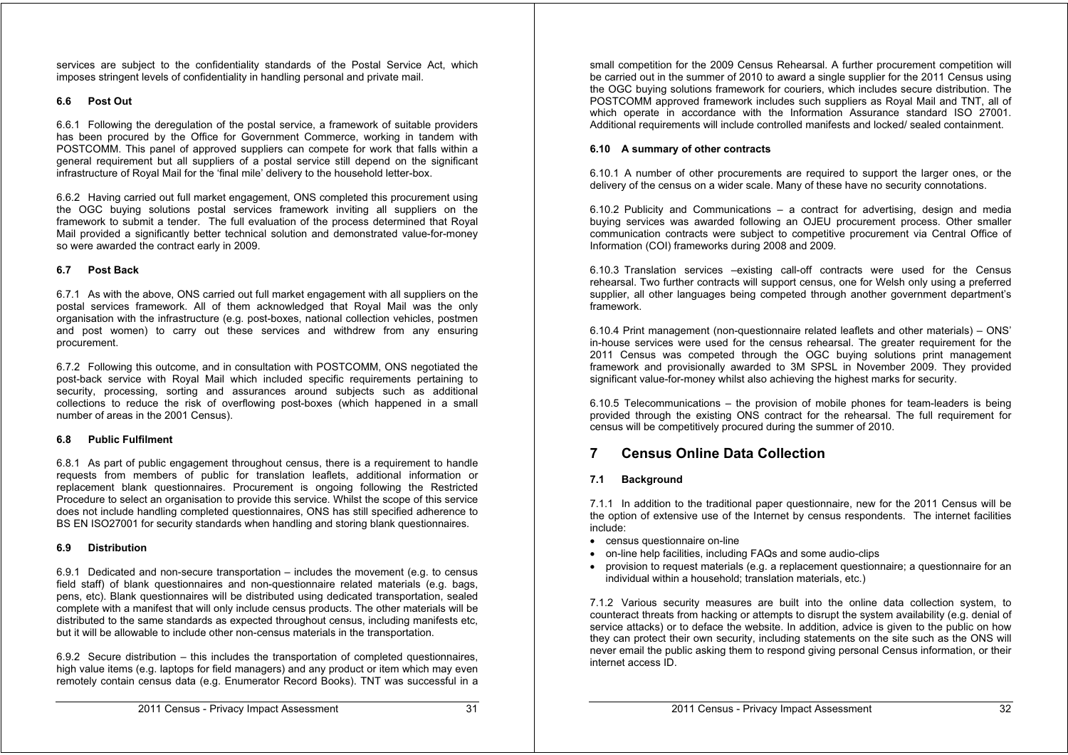services are subject to the confidentiality standards of the Postal Service Act, which imposes stringent levels of confidentiality in handling personal and private mail.

#### **6.6 Post Out**

6.6.1 Following the deregulation of the postal service, a framework of suitable providers has been procured by the Office for Government Commerce, working in tandem with POSTCOMM. This panel of approved suppliers can compete for work that falls within a general requirement but all suppliers of a postal service still depend on the significant infrastructure of Royal Mail for the 'final mile' delivery to the household letter-box.

6.6.2 Having carried out full market engagement, ONS completed this procurement using the OGC buying solutions postal services framework inviting all suppliers on the framework to submit a tender. The full evaluation of the process determined that Royal Mail provided a significantly better technical solution and demonstrated value-for-money so were awarded the contract early in 2009.

#### **6.7 Post Back**

6.7.1 As with the above, ONS carried out full market engagement with all suppliers on the postal services framework. All of them acknowledged that Royal Mail was the only organisation with the infrastructure (e.g. post-boxes, national collection vehicles, postmen and post women) to carry out these services and withdrew from any ensuring procurement.

6.7.2 Following this outcome, and in consultation with POSTCOMM, ONS negotiated the post-back service with Royal Mail which included specific requirements pertaining to security, processing, sorting and assurances around subjects such as additional collections to reduce the risk of overflowing post-boxes (which happened in a small number of areas in the 2001 Census).

#### **6.8 Public Fulfilment**

6.8.1 As part of public engagement throughout census, there is a requirement to handle requests from members of public for translation leaflets, additional information or replacement blank questionnaires. Procurement is ongoing following the Restricted Procedure to select an organisation to provide this service. Whilst the scope of this service does not include handling completed questionnaires, ONS has still specified adherence to BS EN ISO27001 for security standards when handling and storing blank questionnaires.

#### **6.9 Distribution**

6.9.1 Dedicated and non-secure transportation – includes the movement (e.g. to census field staff) of blank questionnaires and non-questionnaire related materials (e.g. bags, pens, etc). Blank questionnaires will be distributed using dedicated transportation, sealed complete with a manifest that will only include census products. The other materials will be distributed to the same standards as expected throughout census, including manifests etc, but it will be allowable to include other non-census materials in the transportation.

6.9.2 Secure distribution – this includes the transportation of completed questionnaires, high value items (e.g. laptops for field managers) and any product or item which may even remotely contain census data (e.g. Enumerator Record Books). TNT was successful in a

small competition for the 2009 Census Rehearsal. A further procurement competition will be carried out in the summer of 2010 to award a single supplier for the 2011 Census using the OGC buying solutions framework for couriers, which includes secure distribution. The POSTCOMM approved framework includes such suppliers as Royal Mail and TNT, all of which operate in accordance with the Information Assurance standard ISO 27001. Additional requirements will include controlled manifests and locked/ sealed containment.

#### **6.10 A summary of other contracts**

6.10.1 A number of other procurements are required to support the larger ones, or the delivery of the census on a wider scale. Many of these have no security connotations.

6.10.2 Publicity and Communications – a contract for advertising, design and media buying services was awarded following an OJEU procurement process. Other smaller communication contracts were subject to competitive procurement via Central Office of Information (COI) frameworks during 2008 and 2009.

6.10.3 Translation services –existing call-off contracts were used for the Census rehearsal. Two further contracts will support census, one for Welsh only using a preferred supplier, all other languages being competed through another government department's framework.

6.10.4 Print management (non-questionnaire related leaflets and other materials) – ONS' in-house services were used for the census rehearsal. The greater requirement for the 2011 Census was competed through the OGC buying solutions print management framework and provisionally awarded to 3M SPSL in November 2009. They provided significant value-for-money whilst also achieving the highest marks for security.

6.10.5 Telecommunications – the provision of mobile phones for team-leaders is being provided through the existing ONS contract for the rehearsal. The full requirement for census will be competitively procured during the summer of 2010.

## **7 Census Online Data Collection**

#### **7.1 Background**

7.1.1 In addition to the traditional paper questionnaire, new for the 2011 Census will be the option of extensive use of the Internet by census respondents. The internet facilities include:

- census questionnaire on-line
- on-line help facilities, including FAQs and some audio-clips
- provision to request materials (e.g. a replacement questionnaire; a questionnaire for an individual within a household; translation materials, etc.)

7.1.2 Various security measures are built into the online data collection system, to counteract threats from hacking or attempts to disrupt the system availability (e.g. denial of service attacks) or to deface the website. In addition, advice is given to the public on how they can protect their own security, including statements on the site such as the ONS will never email the public asking them to respond giving personal Census information, or their internet access ID.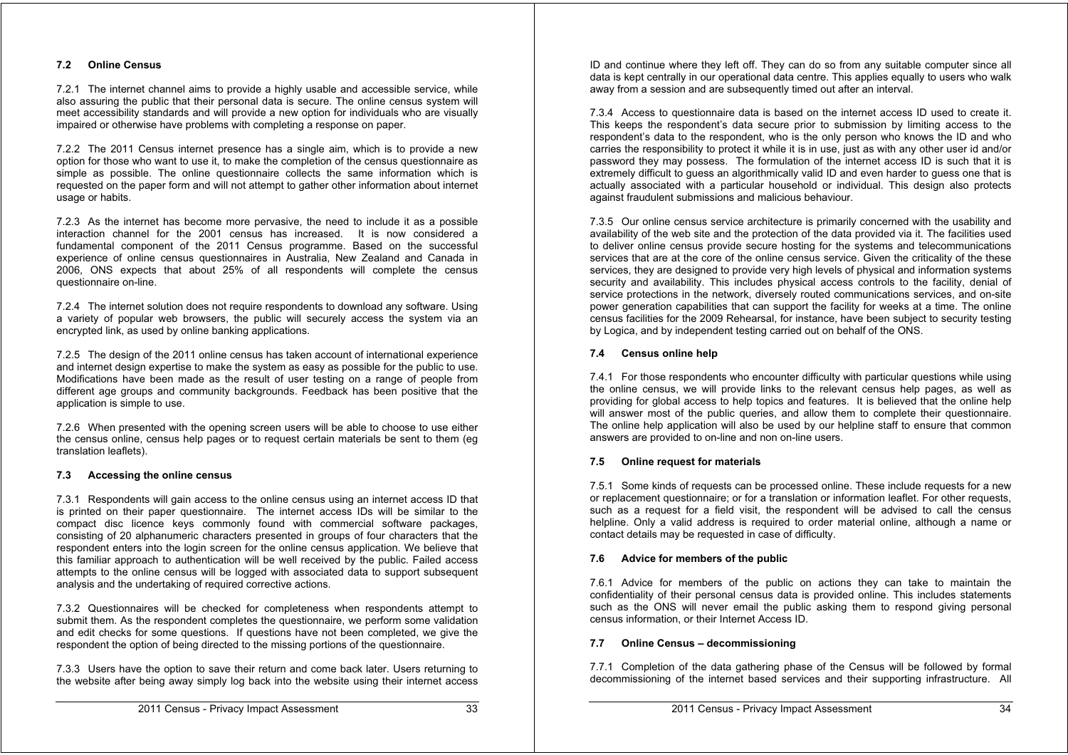#### **7.2 Online Census**

7.2.1 The internet channel aims to provide a highly usable and accessible service, while also assuring the public that their personal data is secure. The online census system will meet accessibility standards and will provide a new option for individuals who are visually impaired or otherwise have problems with completing a response on paper.

7.2.2 The 2011 Census internet presence has a single aim, which is to provide a new option for those who want to use it, to make the completion of the census questionnaire as simple as possible. The online questionnaire collects the same information which is requested on the paper form and will not attempt to gather other information about internet usage or habits.

7.2.3 As the internet has become more pervasive, the need to include it as a possible interaction channel for the 2001 census has increased. It is now considered a fundamental component of the 2011 Census programme. Based on the successful experience of online census questionnaires in Australia, New Zealand and Canada in 2006, ONS expects that about 25% of all respondents will complete the census questionnaire on-line.

7.2.4 The internet solution does not require respondents to download any software. Using a variety of popular web browsers, the public will securely access the system via an encrypted link, as used by online banking applications.

7.2.5 The design of the 2011 online census has taken account of international experience and internet design expertise to make the system as easy as possible for the public to use. Modifications have been made as the result of user testing on a range of people from different age groups and community backgrounds. Feedback has been positive that the application is simple to use.

7.2.6 When presented with the opening screen users will be able to choose to use either the census online, census help pages or to request certain materials be sent to them (eg translation leaflets).

#### **7.3 Accessing the online census**

7.3.1 Respondents will gain access to the online census using an internet access ID that is printed on their paper questionnaire. The internet access IDs will be similar to the compact disc licence keys commonly found with commercial software packages, consisting of 20 alphanumeric characters presented in groups of four characters that the respondent enters into the login screen for the online census application. We believe that this familiar approach to authentication will be well received by the public. Failed access attempts to the online census will be logged with associated data to support subsequent analysis and the undertaking of required corrective actions.

7.3.2 Questionnaires will be checked for completeness when respondents attempt to submit them. As the respondent completes the questionnaire, we perform some validation and edit checks for some questions. If questions have not been completed, we give the respondent the option of being directed to the missing portions of the questionnaire.

7.3.3 Users have the option to save their return and come back later. Users returning to the website after being away simply log back into the website using their internet access

7.3.4 Access to questionnaire data is based on the internet access ID used to create it. This keeps the respondent's data secure prior to submission by limiting access to the respondent's data to the respondent, who is the only person who knows the ID and who carries the responsibility to protect it while it is in use, just as with any other user id and/or password they may possess. The formulation of the internet access ID is such that it is extremely difficult to guess an algorithmically valid ID and even harder to guess one that is actually associated with a particular household or individual. This design also protects against fraudulent submissions and malicious behaviour.

7.3.5 Our online census service architecture is primarily concerned with the usability and availability of the web site and the protection of the data provided via it. The facilities used to deliver online census provide secure hosting for the systems and telecommunications services that are at the core of the online census service. Given the criticality of the these services, they are designed to provide very high levels of physical and information systems security and availability. This includes physical access controls to the facility, denial of service protections in the network, diversely routed communications services, and on-site power generation capabilities that can support the facility for weeks at a time. The online census facilities for the 2009 Rehearsal, for instance, have been subject to security testing by Logica, and by independent testing carried out on behalf of the ONS.

#### **7.4 Census online help**

7.4.1 For those respondents who encounter difficulty with particular questions while using the online census, we will provide links to the relevant census help pages, as well as providing for global access to help topics and features. It is believed that the online help will answer most of the public queries, and allow them to complete their questionnaire. The online help application will also be used by our helpline staff to ensure that common answers are provided to on-line and non on-line users.

#### **7.5 Online request for materials**

7.5.1 Some kinds of requests can be processed online. These include requests for a new or replacement questionnaire; or for a translation or information leaflet. For other requests, such as a request for a field visit, the respondent will be advised to call the census helpline. Only a valid address is required to order material online, although a name or contact details may be requested in case of difficulty.

#### **7.6 Advice for members of the public**

7.6.1 Advice for members of the public on actions they can take to maintain the confidentiality of their personal census data is provided online. This includes statements such as the ONS will never email the public asking them to respond giving personal census information, or their Internet Access ID.

#### **7.7 Online Census – decommissioning**

7.7.1 Completion of the data gathering phase of the Census will be followed by formal decommissioning of the internet based services and their supporting infrastructure. All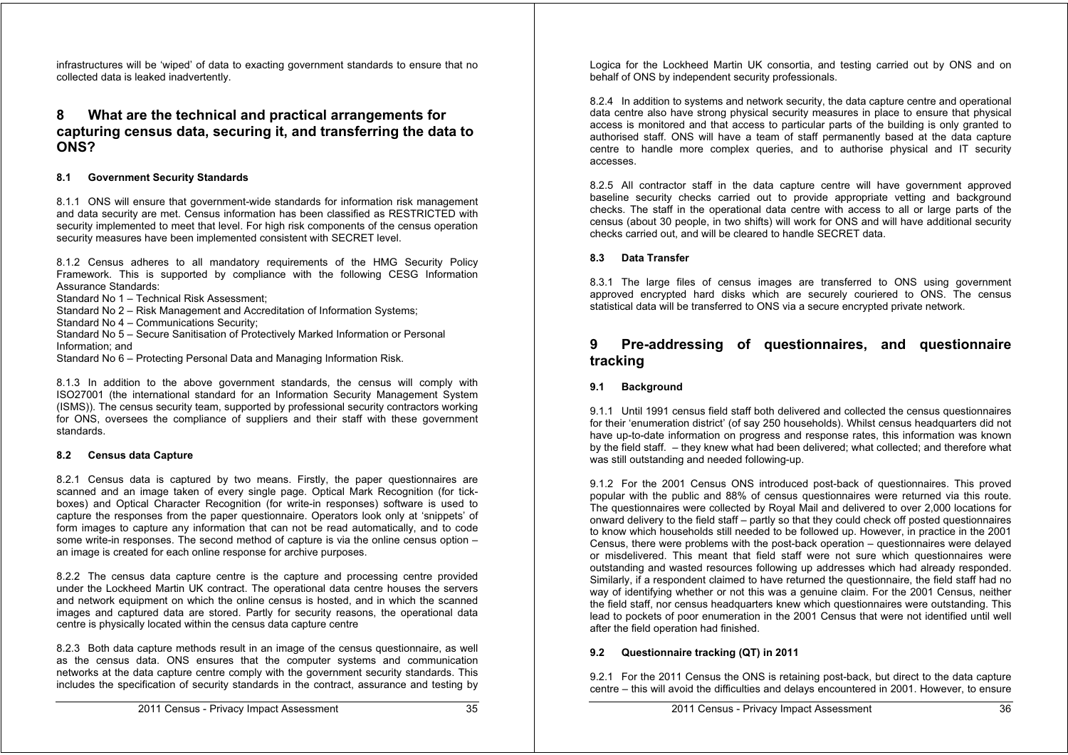infrastructures will be 'wiped' of data to exacting government standards to ensure that no collected data is leaked inadvertently.

## **8 What are the technical and practical arrangements for capturing census data, securing it, and transferring the data to ONS?**

#### **8.1 Government Security Standards**

8.1.1 ONS will ensure that government-wide standards for information risk management and data security are met. Census information has been classified as RESTRICTED with security implemented to meet that level. For high risk components of the census operation security measures have been implemented consistent with SECRET level.

8.1.2 Census adheres to all mandatory requirements of the HMG Security Policy Framework. This is supported by compliance with the following CESG Information Assurance Standards:

Standard No 1 – Technical Risk Assessment;

Standard No 2 – Risk Management and Accreditation of Information Systems;

Standard No 4 – Communications Security;

Standard No 5 – Secure Sanitisation of Protectively Marked Information or Personal Information; and

Standard No 6 – Protecting Personal Data and Managing Information Risk.

8.1.3 In addition to the above government standards, the census will comply with ISO27001 (the international standard for an Information Security Management System (ISMS)). The census security team, supported by professional security contractors working for ONS, oversees the compliance of suppliers and their staff with these government standards.

#### **8.2 Census data Capture**

8.2.1 Census data is captured by two means. Firstly, the paper questionnaires are scanned and an image taken of every single page. Optical Mark Recognition (for tickboxes) and Optical Character Recognition (for write-in responses) software is used to capture the responses from the paper questionnaire. Operators look only at 'snippets' of form images to capture any information that can not be read automatically, and to code some write-in responses. The second method of capture is via the online census option – an image is created for each online response for archive purposes.

8.2.2 The census data capture centre is the capture and processing centre provided under the Lockheed Martin UK contract. The operational data centre houses the servers and network equipment on which the online census is hosted, and in which the scanned images and captured data are stored. Partly for security reasons, the operational data centre is physically located within the census data capture centre

8.2.3 Both data capture methods result in an image of the census questionnaire, as well as the census data. ONS ensures that the computer systems and communication networks at the data capture centre comply with the government security standards. This includes the specification of security standards in the contract, assurance and testing by

8.2.4 In addition to systems and network security, the data capture centre and operational data centre also have strong physical security measures in place to ensure that physical access is monitored and that access to particular parts of the building is only granted to authorised staff. ONS will have a team of staff permanently based at the data capture centre to handle more complex queries, and to authorise physical and IT security accesses.

8.2.5 All contractor staff in the data capture centre will have government approved baseline security checks carried out to provide appropriate vetting and background checks. The staff in the operational data centre with access to all or large parts of the census (about 30 people, in two shifts) will work for ONS and will have additional security checks carried out, and will be cleared to handle SECRET data.

#### **8.3 Data Transfer**

8.3.1 The large files of census images are transferred to ONS using government approved encrypted hard disks which are securely couriered to ONS. The census statistical data will be transferred to ONS via a secure encrypted private network.

## **9 Pre-addressing of questionnaires, and questionnaire tracking**

#### **9.1 Background**

9.1.1 Until 1991 census field staff both delivered and collected the census questionnaires for their 'enumeration district' (of say 250 households). Whilst census headquarters did not have up-to-date information on progress and response rates, this information was known by the field staff. – they knew what had been delivered; what collected; and therefore what was still outstanding and needed following-up.

9.1.2 For the 2001 Census ONS introduced post-back of questionnaires. This proved popular with the public and 88% of census questionnaires were returned via this route. The questionnaires were collected by Royal Mail and delivered to over 2,000 locations for onward delivery to the field staff – partly so that they could check off posted questionnaires to know which households still needed to be followed up. However, in practice in the 2001 Census, there were problems with the post-back operation – questionnaires were delayed or misdelivered. This meant that field staff were not sure which questionnaires were outstanding and wasted resources following up addresses which had already responded. Similarly, if a respondent claimed to have returned the questionnaire, the field staff had no way of identifying whether or not this was a genuine claim. For the 2001 Census, neither the field staff, nor census headquarters knew which questionnaires were outstanding. This lead to pockets of poor enumeration in the 2001 Census that were not identified until well after the field operation had finished.

#### **9.2 Questionnaire tracking (QT) in 2011**

9.2.1 For the 2011 Census the ONS is retaining post-back, but direct to the data capture centre – this will avoid the difficulties and delays encountered in 2001. However, to ensure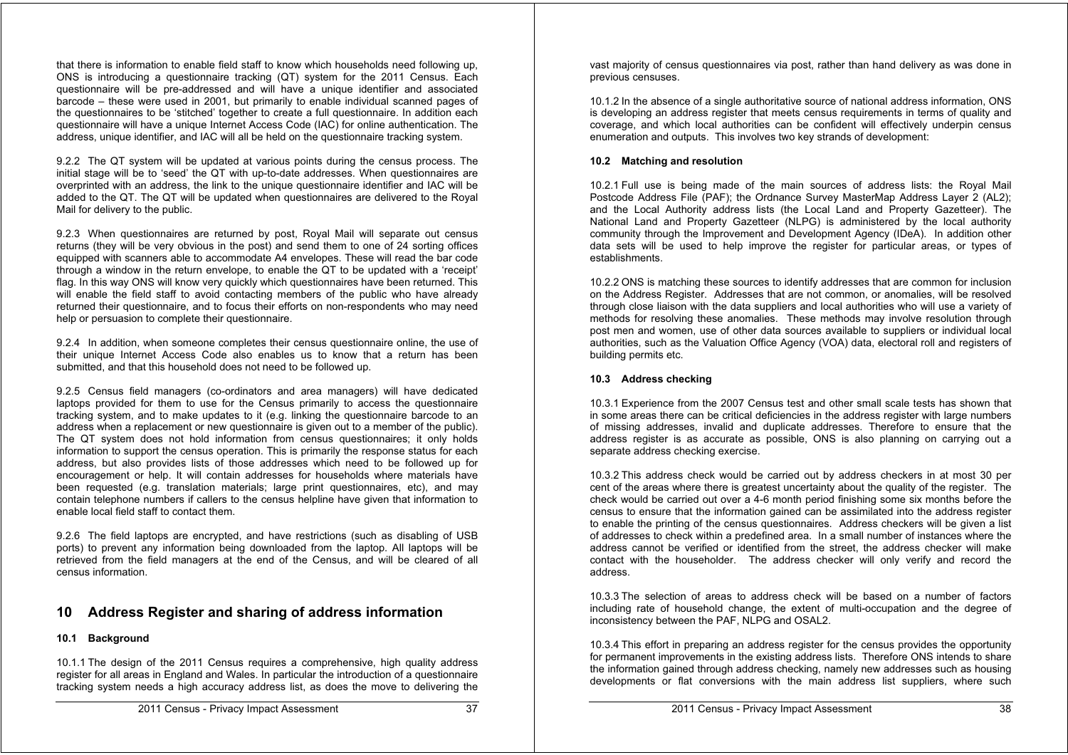that there is information to enable field staff to know which households need following up, ONS is introducing a questionnaire tracking (QT) system for the 2011 Census. Each questionnaire will be pre-addressed and will have a unique identifier and associated barcode – these were used in 2001, but primarily to enable individual scanned pages of the questionnaires to be 'stitched' together to create a full questionnaire. In addition each questionnaire will have a unique Internet Access Code (IAC) for online authentication. The address, unique identifier, and IAC will all be held on the questionnaire tracking system.

9.2.2 The QT system will be updated at various points during the census process. The initial stage will be to 'seed' the QT with up-to-date addresses. When questionnaires are overprinted with an address, the link to the unique questionnaire identifier and IAC will be added to the QT. The QT will be updated when questionnaires are delivered to the Royal Mail for delivery to the public.

9.2.3 When questionnaires are returned by post, Royal Mail will separate out census returns (they will be very obvious in the post) and send them to one of 24 sorting offices equipped with scanners able to accommodate A4 envelopes. These will read the bar code through a window in the return envelope, to enable the QT to be updated with a 'receipt' flag. In this way ONS will know very quickly which questionnaires have been returned. This will enable the field staff to avoid contacting members of the public who have already returned their questionnaire, and to focus their efforts on non-respondents who may need help or persuasion to complete their questionnaire.

9.2.4 In addition, when someone completes their census questionnaire online, the use of their unique Internet Access Code also enables us to know that a return has been submitted, and that this household does not need to be followed up.

9.2.5 Census field managers (co-ordinators and area managers) will have dedicated laptops provided for them to use for the Census primarily to access the questionnaire tracking system, and to make updates to it (e.g. linking the questionnaire barcode to an address when a replacement or new questionnaire is given out to a member of the public). The QT system does not hold information from census questionnaires; it only holds information to support the census operation. This is primarily the response status for each address, but also provides lists of those addresses which need to be followed up for encouragement or help. It will contain addresses for households where materials have been requested (e.g. translation materials; large print questionnaires, etc), and may contain telephone numbers if callers to the census helpline have given that information to enable local field staff to contact them.

9.2.6 The field laptops are encrypted, and have restrictions (such as disabling of USB ports) to prevent any information being downloaded from the laptop. All laptops will be retrieved from the field managers at the end of the Census, and will be cleared of all census information.

## **10 Address Register and sharing of address information**

#### **10.1 Background**

10.1.1 The design of the 2011 Census requires a comprehensive, high quality address register for all areas in England and Wales. In particular the introduction of a questionnaire tracking system needs a high accuracy address list, as does the move to delivering the vast majority of census questionnaires via post, rather than hand delivery as was done in previous censuses.

10.1.2 In the absence of a single authoritative source of national address information, ONS is developing an address register that meets census requirements in terms of quality and coverage, and which local authorities can be confident will effectively underpin census enumeration and outputs. This involves two key strands of development:

#### **10.2 Matching and resolution**

10.2.1 Full use is being made of the main sources of address lists: the Royal Mail Postcode Address File (PAF); the Ordnance Survey MasterMap Address Layer 2 (AL2); and the Local Authority address lists (the Local Land and Property Gazetteer). The National Land and Property Gazetteer (NLPG) is administered by the local authority community through the Improvement and Development Agency (IDeA). In addition other data sets will be used to help improve the register for particular areas, or types of establishments.

10.2.2 ONS is matching these sources to identify addresses that are common for inclusion on the Address Register. Addresses that are not common, or anomalies, will be resolved through close liaison with the data suppliers and local authorities who will use a variety of methods for resolving these anomalies. These methods may involve resolution through post men and women, use of other data sources available to suppliers or individual local authorities, such as the Valuation Office Agency (VOA) data, electoral roll and registers of building permits etc.

#### **10.3 Address checking**

10.3.1 Experience from the 2007 Census test and other small scale tests has shown that in some areas there can be critical deficiencies in the address register with large numbers of missing addresses, invalid and duplicate addresses. Therefore to ensure that the address register is as accurate as possible, ONS is also planning on carrying out a separate address checking exercise.

10.3.2 This address check would be carried out by address checkers in at most 30 per cent of the areas where there is greatest uncertainty about the quality of the register. The check would be carried out over a 4-6 month period finishing some six months before the census to ensure that the information gained can be assimilated into the address register to enable the printing of the census questionnaires. Address checkers will be given a list of addresses to check within a predefined area. In a small number of instances where the address cannot be verified or identified from the street, the address checker will make contact with the householder. The address checker will only verify and record the address.

10.3.3 The selection of areas to address check will be based on a number of factors including rate of household change, the extent of multi-occupation and the degree of inconsistency between the PAF, NLPG and OSAL2.

10.3.4 This effort in preparing an address register for the census provides the opportunity for permanent improvements in the existing address lists. Therefore ONS intends to share the information gained through address checking, namely new addresses such as housing developments or flat conversions with the main address list suppliers, where such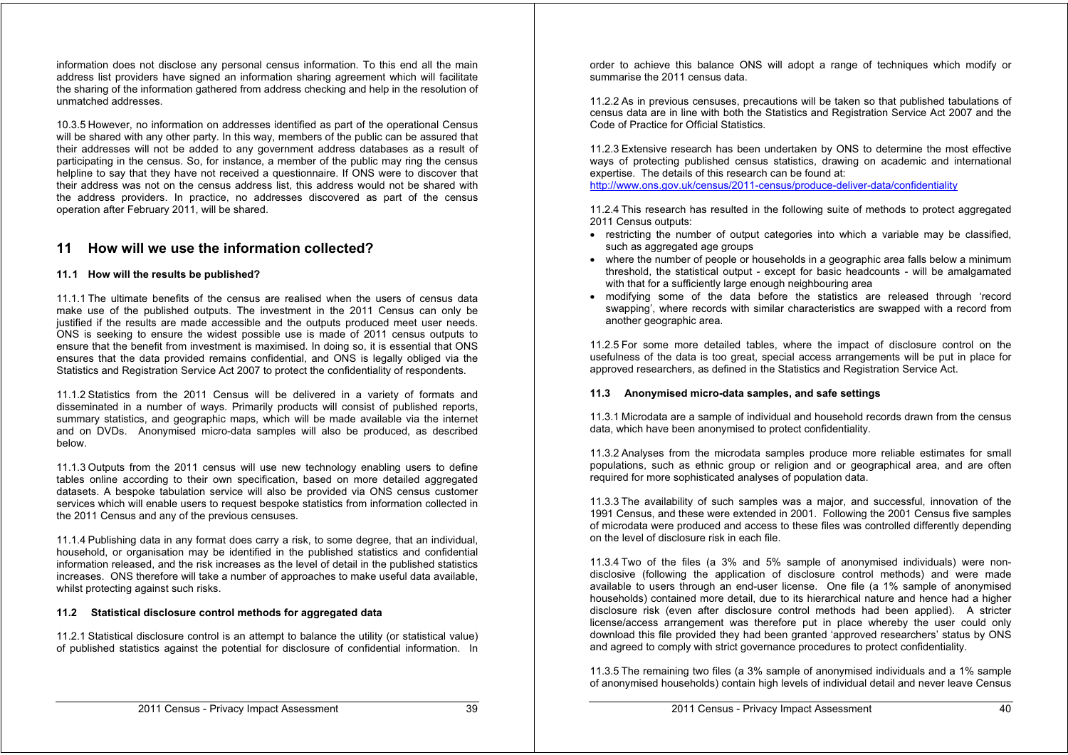information does not disclose any personal census information. To this end all the main address list providers have signed an information sharing agreement which will facilitate the sharing of the information gathered from address checking and help in the resolution of unmatched addresses.

10.3.5 However, no information on addresses identified as part of the operational Census will be shared with any other party. In this way, members of the public can be assured that their addresses will not be added to any government address databases as a result of participating in the census. So, for instance, a member of the public may ring the census helpline to say that they have not received a questionnaire. If ONS were to discover that their address was not on the census address list, this address would not be shared with the address providers. In practice, no addresses discovered as part of the census operation after February 2011, will be shared.

## **11 How will we use the information collected?**

#### **11. 1 How will the results be published?**

11.1.1 The ultimate benefits of the census are realised when the users of census data make use of the published outputs. The investment in the 2011 Census can only be justified if the results are made accessible and the outputs produced meet user needs. ONS is seeking to ensure the widest possible use is made of 2011 census outputs to ensure that the benefit from investment is maximised. In doing so, it is essential that ONS ensures that the data provided remains confidential, and ONS is legally obliged via the Statistics and Registration Service Act 2007 to protect the confidentiality of respondents.

11.1.2 Statistics from the 2011 Census will be delivered in a variety of formats and disseminated in a number of ways. Primarily products will consist of published reports, summary statistics, and geographic maps, which will be made available via the internet and on DVDs. Anonymised micro-data samples will also be produced, as described below.

11.1.3 Outputs from the 2011 census will use new technology enabling users to define tables online according to their own specification, based on more detailed aggregated datasets. A bespoke tabulation service will also be provided via ONS census customer services which will enable users to request bespoke statistics from information collected in the 2011 Census and any of the previous censuses.

11.1.4 Publishing data in any format does carry a risk, to some degree, that an individual, household, or organisation may be identified in the published statistics and confidential information released, and the risk increases as the level of detail in the published statistics increases. ONS therefore will take a number of approaches to make useful data available, whilst protecting against such risks.

#### **11.2 Statistical disclosure control methods for aggregated data**

11.2.1 Statistical disclosure control is an attempt to balance the utility (or statistical value) of published statistics against the potential for disclosure of confidential information. In

order to achieve this balance ONS will adopt a range of techniques which modify or summarise the 2011 census data.

11.2.2 As in previous censuses, precautions will be taken so that published tabulations of census data are in line with both the Statistics and Registration Service Act 2007 and the Code of Practice for Official Statistics.

11.2.3 Extensive research has been undertaken by ONS to determine the most effective ways of protecting published census statistics, drawing on academic and international expertise. The details of this research can be found at:

http://www.ons.gov.uk/census/2011-census/produce-deliver-data/confidentiality

11.2.4 This research has resulted in the following suite of methods to protect aggregated 2011 Census outputs:

- restricting the number of output categories into which a variable may be classified, such as aggregated age groups
- where the number of people or households in a geographic area falls below a minimum threshold, the statistical output - except for basic headcounts - will be amalgamated with that for a sufficiently large enough neighbouring area
- modifying some of the data before the statistics are released through 'record swapping', where records with similar characteristics are swapped with a record from another geographic area.

11.2.5 For some more detailed tables, where the impact of disclosure control on the usefulness of the data is too great, special access arrangements will be put in place for approved researchers, as defined in the Statistics and Registration Service Act.

#### **11.3 Anonymised micro-data samples, and safe settings**

11.3.1 Microdata are a sample of individual and household records drawn from the census data, which have been anonymised to protect confidentiality.

11.3.2 Analyses from the microdata samples produce more reliable estimates for small populations, such as ethnic group or religion and or geographical area, and are often required for more sophisticated analyses of population data.

11.3.3 The availability of such samples was a major, and successful, innovation of the 1991 Census, and these were extended in 2001. Following the 2001 Census five samples of microdata were produced and access to these files was controlled differently depending on the level of disclosure risk in each file.

11.3.4 Two of the files (a 3% and 5% sample of anonymised individuals) were nondisclosive (following the application of disclosure control methods) and were made available to users through an end-user license. One file (a 1% sample of anonymised households) contained more detail, due to its hierarchical nature and hence had a higher disclosure risk (even after disclosure control methods had been applied). A stricter license/access arrangement was therefore put in place whereby the user could only download this file provided they had been granted 'approved researchers' status by ONS and agreed to comply with strict governance procedures to protect confidentiality.

11.3.5 The remaining two files (a 3% sample of anonymised individuals and a 1% sample of anonymised households) contain high levels of individual detail and never leave Census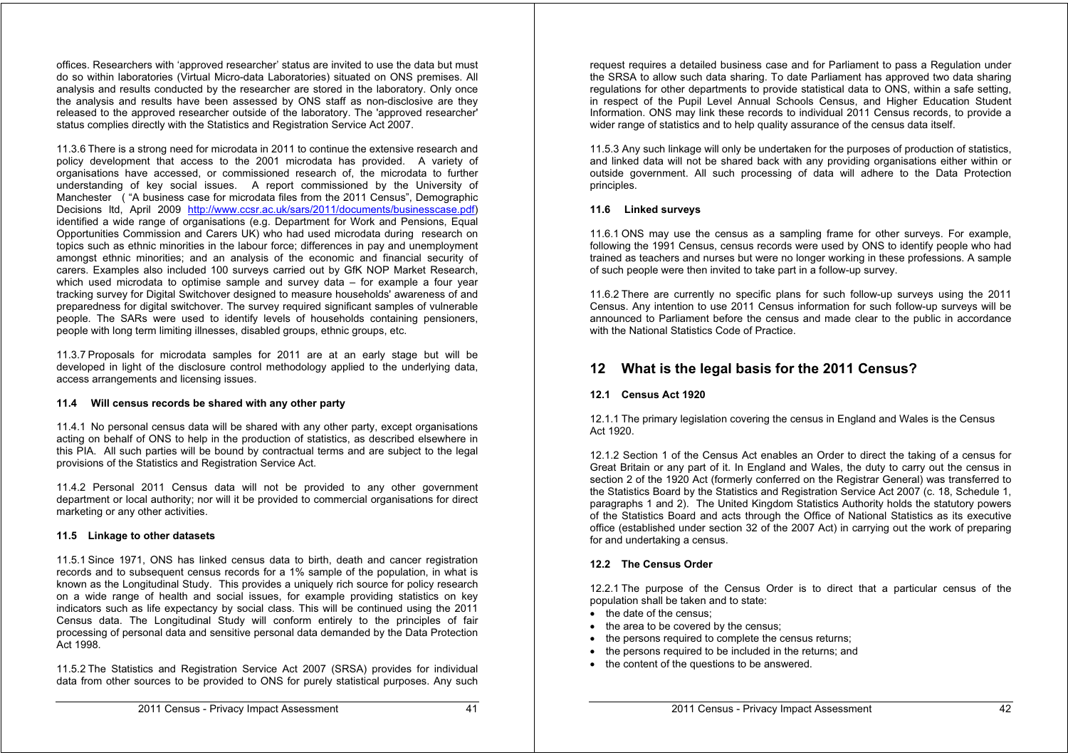offices. Researchers with 'approved researcher' status are invited to use the data but must do so within laboratories (Virtual Micro-data Laboratories) situated on ONS premises. All analysis and results conducted by the researcher are stored in the laboratory. Only once the analysis and results have been assessed by ONS staff as non-disclosive are they released to the approved researcher outside of the laboratory. The 'approved researcher' status complies directly with the Statistics and Registration Service Act 2007.

11.3.6 There is a strong need for microdata in 2011 to continue the extensive research and policy development that access to the 2001 microdata has provided. A variety of organisations have accessed, or commissioned research of, the microdata to further understanding of key social issues. A report commissioned by the University of Manchester ( "A business case for microdata files from the 2011 Census", Demographic Decisions ltd, April 2009 http://www.ccsr.ac.uk/sars/2011/documents/businesscase.pdf) identified a wide range of organisations (e.g. Department for Work and Pensions, Equal Opportunities Commission and Carers UK) who had used microdata during research on topics such as ethnic minorities in the labour force; differences in pay and unemployment amongst ethnic minorities; and an analysis of the economic and financial security of carers. Examples also included 100 surveys carried out by GfK NOP Market Research, which used microdata to optimise sample and survey data – for example a four year tracking survey for Digital Switchover designed to measure households' awareness of and preparedness for digital switchover. The survey required significant samples of vulnerable people. The SARs were used to identify levels of households containing pensioners, people with long term limiting illnesses, disabled groups, ethnic groups, etc.

11.3.7 Proposals for microdata samples for 2011 are at an early stage but will be developed in light of the disclosure control methodology applied to the underlying data, access arrangements and licensing issues.

#### **11.4 Will census records be shared with any other party**

11.4.1 No personal census data will be shared with any other party, except organisations acting on behalf of ONS to help in the production of statistics, as described elsewhere in this PIA. All such parties will be bound by contractual terms and are subject to the legal provisions of the Statistics and Registration Service Act.

11.4.2 Personal 2011 Census data will not be provided to any other government department or local authority; nor will it be provided to commercial organisations for direct marketing or any other activities.

#### **11.5 Linkage to other datasets**

11.5.1 Since 1971, ONS has linked census data to birth, death and cancer registration records and to subsequent census records for a 1% sample of the population, in what is known as the Longitudinal Study. This provides a uniquely rich source for policy research on a wide range of health and social issues, for example providing statistics on key indicators such as life expectancy by social class. This will be continued using the 2011 Census data. The Longitudinal Study will conform entirely to the principles of fair processing of personal data and sensitive personal data demanded by the Data Protection Act 1998.

11.5.2 The Statistics and Registration Service Act 2007 (SRSA) provides for individual data from other sources to be provided to ONS for purely statistical purposes. Any such

request requires a detailed business case and for Parliament to pass a Regulation under the SRSA to allow such data sharing. To date Parliament has approved two data sharing regulations for other departments to provide statistical data to ONS, within a safe setting, in respect of the Pupil Level Annual Schools Census, and Higher Education Student Information. ONS may link these records to individual 2011 Census records, to provide a wider range of statistics and to help quality assurance of the census data itself.

11.5.3 Any such linkage will only be undertaken for the purposes of production of statistics, and linked data will not be shared back with any providing organisations either within or outside government. All such processing of data will adhere to the Data Protection principles.

#### **11.6 Linked surveys**

11.6.1 ONS may use the census as a sampling frame for other surveys. For example, following the 1991 Census, census records were used by ONS to identify people who had trained as teachers and nurses but were no longer working in these professions. A sample of such people were then invited to take part in a follow-up survey.

11.6.2 There are currently no specific plans for such follow-up surveys using the 2011 Census. Any intention to use 2011 Census information for such follow-up surveys will be announced to Parliament before the census and made clear to the public in accordance with the National Statistics Code of Practice.

## **12 What is the legal basis for the 2011 Census?**

#### **12.1 Census Act 1920**

12.1.1 The primary legislation covering the census in England and Wales is the Census Act 1920.

12.1.2 Section 1 of the Census Act enables an Order to direct the taking of a census for Great Britain or any part of it. In England and Wales, the duty to carry out the census in section 2 of the 1920 Act (formerly conferred on the Registrar General) was transferred to the Statistics Board by the Statistics and Registration Service Act 2007 (c. 18, Schedule 1, paragraphs 1 and 2). The United Kingdom Statistics Authority holds the statutory powers of the Statistics Board and acts through the Office of National Statistics as its executive office (established under section 32 of the 2007 Act) in carrying out the work of preparing for and undertaking a census.

#### **12.2 The Census Order**

12.2.1 The purpose of the Census Order is to direct that a particular census of the population shall be taken and to state:

- the date of the census:
- the area to be covered by the census:
- the persons required to complete the census returns;
- the persons required to be included in the returns; and
- the content of the questions to be answered.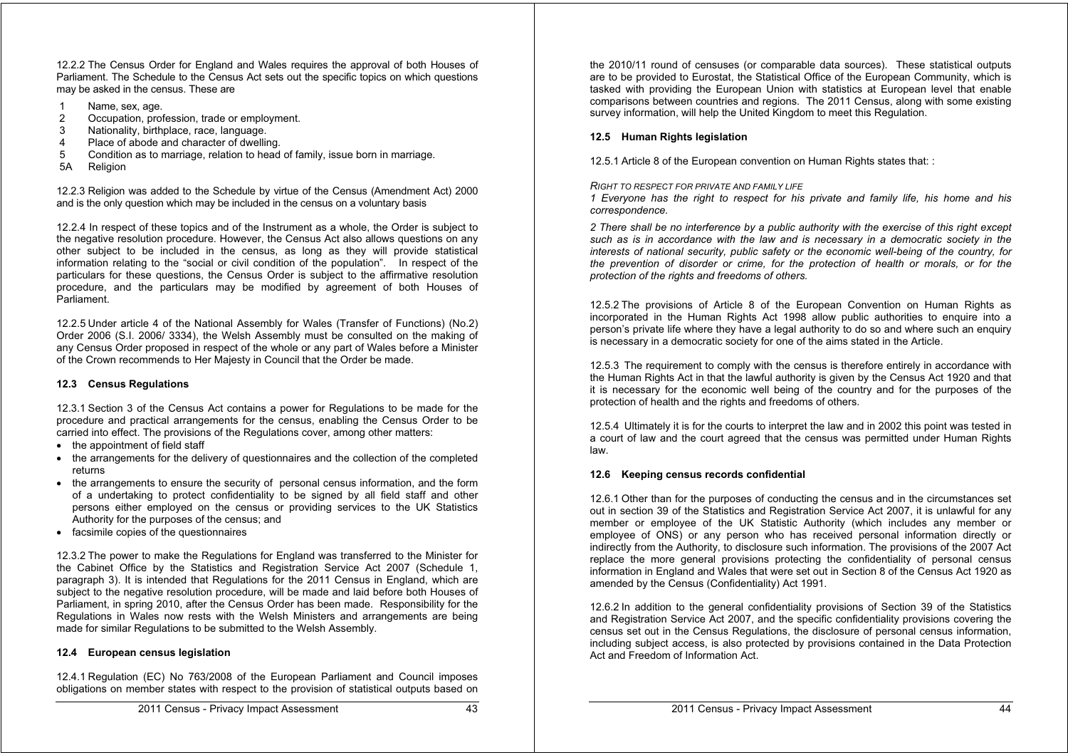12.2.2 The Census Order for England and Wales requires the approval of both Houses of Parliament. The Schedule to the Census Act sets out the specific topics on which questions may be asked in the census. These are

- 1 Name, sex, age.
- 2 Occupation, profession, trade or employment.
- 3 Nationality, birthplace, race, language.<br>4 Place of abode and character of dwelling
- 4 Place of abode and character of dwelling.<br>5 Condition as to marriage, relation to head
- 5 Condition as to marriage, relation to head of family, issue born in marriage.
- 5A Religion

12.2.3 Religion was added to the Schedule by virtue of the Census (Amendment Act) 2000 and is the only question which may be included in the census on a voluntary basis

12.2.4 In respect of these topics and of the Instrument as a whole, the Order is subject to the negative resolution procedure. However, the Census Act also allows questions on any other subject to be included in the census, as long as they will provide statistical information relating to the "social or civil condition of the population". In respect of the particulars for these questions, the Census Order is subject to the affirmative resolution procedure, and the particulars may be modified by agreement of both Houses of Parliament.

12.2.5 Under article 4 of the National Assembly for Wales (Transfer of Functions) (No.2) Order 2006 (S.I. 2006/ 3334), the Welsh Assembly must be consulted on the making of any Census Order proposed in respect of the whole or any part of Wales before a Minister of the Crown recommends to Her Majesty in Council that the Order be made.

#### **12.3 Census Regulations**

12.3.1 Section 3 of the Census Act contains a power for Regulations to be made for the procedure and practical arrangements for the census, enabling the Census Order to be carried into effect. The provisions of the Regulations cover, among other matters:

- the appointment of field staff
- the arrangements for the delivery of questionnaires and the collection of the completed returns
- the arrangements to ensure the security of personal census information, and the form of a undertaking to protect confidentiality to be signed by all field staff and other persons either employed on the census or providing services to the UK Statistics Authority for the purposes of the census; and
- facsimile copies of the questionnaires

12.3.2 The power to make the Regulations for England was transferred to the Minister for the Cabinet Office by the Statistics and Registration Service Act 2007 (Schedule 1, paragraph 3). It is intended that Regulations for the 2011 Census in England, which are subject to the negative resolution procedure, will be made and laid before both Houses of Parliament, in spring 2010, after the Census Order has been made. Responsibility for the Regulations in Wales now rests with the Welsh Ministers and arrangements are being made for similar Regulations to be submitted to the Welsh Assembly.

#### **12.4 European census legislation**

12.4.1 Regulation (EC) No 763/2008 of the European Parliament and Council imposes obligations on member states with respect to the provision of statistical outputs based on the 2010/11 round of censuses (or comparable data sources). These statistical outputs are to be provided to Eurostat, the Statistical Office of the European Community, which is tasked with providing the European Union with statistics at European level that enable comparisons between countries and regions. The 2011 Census, along with some existing survey information, will help the United Kingdom to meet this Regulation.

#### **12.5 Human Rights legislation**

12.5.1 Article 8 of the European convention on Human Rights states that: :

#### *RIGHT TO RESPECT FOR PRIVATE AND FAMILY LIFE*

*1 Everyone has the right to respect for his private and family life, his home and his correspondence.*

*2 There shall be no interference by a public authority with the exercise of this right except such as is in accordance with the law and is necessary in a democratic society in the interests of national security, public safety or the economic well-being of the country, for the prevention of disorder or crime, for the protection of health or morals, or for the protection of the rights and freedoms of others.* 

12.5.2 The provisions of Article 8 of the European Convention on Human Rights as incorporated in the Human Rights Act 1998 allow public authorities to enquire into a person's private life where they have a legal authority to do so and where such an enquiry is necessary in a democratic society for one of the aims stated in the Article.

12.5.3 The requirement to comply with the census is therefore entirely in accordance with the Human Rights Act in that the lawful authority is given by the Census Act 1920 and that it is necessary for the economic well being of the country and for the purposes of the protection of health and the rights and freedoms of others.

12.5.4 Ultimately it is for the courts to interpret the law and in 2002 this point was tested in a court of law and the court agreed that the census was permitted under Human Rights law.

#### **12.6 Keeping census records confidential**

12.6.1 Other than for the purposes of conducting the census and in the circumstances set out in section 39 of the Statistics and Registration Service Act 2007, it is unlawful for any member or employee of the UK Statistic Authority (which includes any member or employee of ONS) or any person who has received personal information directly or indirectly from the Authority, to disclosure such information. The provisions of the 2007 Act replace the more general provisions protecting the confidentiality of personal census information in England and Wales that were set out in Section 8 of the Census Act 1920 as amended by the Census (Confidentiality) Act 1991.

12.6.2 In addition to the general confidentiality provisions of Section 39 of the Statistics and Registration Service Act 2007, and the specific confidentiality provisions covering the census set out in the Census Regulations, the disclosure of personal census information, including subject access, is also protected by provisions contained in the Data Protection Act and Freedom of Information Act.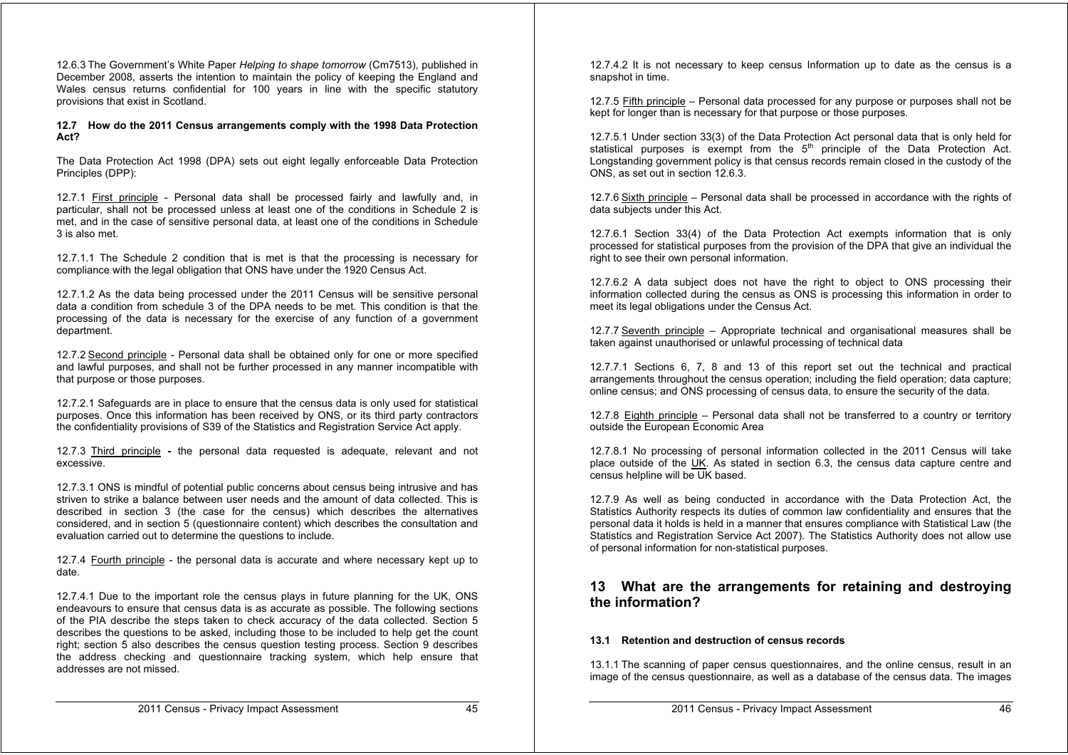12.6.3 The Government's White Paper *Helping to shape tomorrow* (Cm7513), published in December 2008, asserts the intention to maintain the policy of keeping the England and Wales census returns confidential for 100 years in line with the specific statutory provisions that exist in Scotland.

#### **12.7 How do the 2011 Census arrangements comply with the 1998 Data Protection Act?**

The Data Protection Act 1998 (DPA) sets out eight legally enforceable Data Protection Principles (DPP):

12.7.1 First principle - Personal data shall be processed fairly and lawfully and, in particular, shall not be processed unless at least one of the conditions in Schedule 2 is met, and in the case of sensitive personal data, at least one of the conditions in Schedule 3 is also met.

12.7.1.1 The Schedule 2 condition that is met is that the processing is necessary for compliance with the legal obligation that ONS have under the 1920 Census Act.

12.7.1.2 As the data being processed under the 2011 Census will be sensitive personal data a condition from schedule 3 of the DPA needs to be met. This condition is that the processing of the data is necessary for the exercise of any function of a government department.

12.7.2 Second principle - Personal data shall be obtained only for one or more specified and lawful purposes, and shall not be further processed in any manner incompatible with that purpose or those purposes.

12.7.2.1 Safeguards are in place to ensure that the census data is only used for statistical purposes. Once this information has been received by ONS, or its third party contractors the confidentiality provisions of S39 of the Statistics and Registration Service Act apply.

12.7.3 Third principle **-** the personal data requested is adequate, relevant and not excessive.

12.7.3.1 ONS is mindful of potential public concerns about census being intrusive and has striven to strike a balance between user needs and the amount of data collected. This is described in section 3 (the case for the census) which describes the alternatives considered, and in section 5 (questionnaire content) which describes the consultation and evaluation carried out to determine the questions to include.

12.7.4 Fourth principle - the personal data is accurate and where necessary kept up to date.

12.7.4.1 Due to the important role the census plays in future planning for the UK, ONS endeavours to ensure that census data is as accurate as possible. The following sections of the PIA describe the steps taken to check accuracy of the data collected. Section 5 describes the questions to be asked, including those to be included to help get the count right; section 5 also describes the census question testing process. Section 9 describes the address checking and questionnaire tracking system, which help ensure that addresses are not missed.

12.7.4.2 It is not necessary to keep census Information up to date as the census is a snapshot in time.

12.7.5 Fifth principle – Personal data processed for any purpose or purposes shall not be kept for longer than is necessary for that purpose or those purposes.

12.7.5.1 Under section 33(3) of the Data Protection Act personal data that is only held for statistical purposes is exempt from the  $5<sup>th</sup>$  principle of the Data Protection Act. Longstanding government policy is that census records remain closed in the custody of the ONS, as set out in section 12.6.3.

12.7.6 Sixth principle – Personal data shall be processed in accordance with the rights of data subjects under this Act.

12.7.6.1 Section 33(4) of the Data Protection Act exempts information that is only processed for statistical purposes from the provision of the DPA that give an individual the right to see their own personal information.

12.7.6.2 A data subject does not have the right to object to ONS processing their information collected during the census as ONS is processing this information in order to meet its legal obligations under the Census Act.

12.7.7 Seventh principle – Appropriate technical and organisational measures shall be taken against unauthorised or unlawful processing of technical data

12.7.7.1 Sections 6, 7, 8 and 13 of this report set out the technical and practical arrangements throughout the census operation; including the field operation; data capture; online census; and ONS processing of census data, to ensure the security of the data.

12.7.8 Eighth principle – Personal data shall not be transferred to a country or territory outside the European Economic Area

12.7.8.1 No processing of personal information collected in the 2011 Census will take place outside of the UK. As stated in section 6.3, the census data capture centre and census helpline will be UK based.

12.7.9 As well as being conducted in accordance with the Data Protection Act, the Statistics Authority respects its duties of common law confidentiality and ensures that the personal data it holds is held in a manner that ensures compliance with Statistical Law (the Statistics and Registration Service Act 2007). The Statistics Authority does not allow use of personal information for non-statistical purposes.

## **13 What are the arrangements for retaining and destroying the information?**

#### **13.1 Retention and destruction of census records**

13.1.1 The scanning of paper census questionnaires, and the online census, result in an image of the census questionnaire, as well as a database of the census data. The images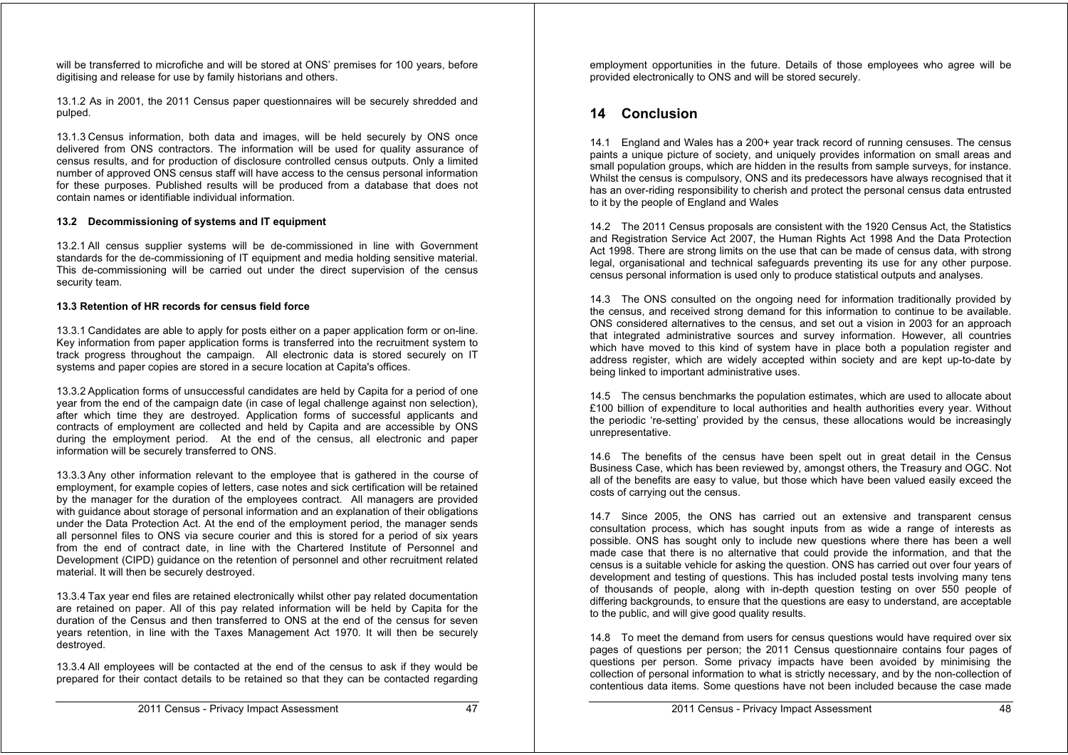will be transferred to microfiche and will be stored at ONS' premises for 100 years, before digitising and release for use by family historians and others.

13.1.2 As in 2001, the 2011 Census paper questionnaires will be securely shredded and pulped.

13.1.3 Census information, both data and images, will be held securely by ONS once delivered from ONS contractors. The information will be used for quality assurance of census results, and for production of disclosure controlled census outputs. Only a limited number of approved ONS census staff will have access to the census personal information for these purposes. Published results will be produced from a database that does not contain names or identifiable individual information.

#### **13.2 Decommissioning of systems and IT equipment**

13.2.1 All census supplier systems will be de-commissioned in line with Government standards for the de-commissioning of IT equipment and media holding sensitive material. This de-commissioning will be carried out under the direct supervision of the census security team.

#### **13.3 Retention of HR records for census field force**

13.3.1 Candidates are able to apply for posts either on a paper application form or on-line. Key information from paper application forms is transferred into the recruitment system to track progress throughout the campaign. All electronic data is stored securely on IT systems and paper copies are stored in a secure location at Capita's offices.

13.3.2 Application forms of unsuccessful candidates are held by Capita for a period of one year from the end of the campaign date (in case of legal challenge against non selection), after which time they are destroyed. Application forms of successful applicants and contracts of employment are collected and held by Capita and are accessible by ONS during the employment period. At the end of the census, all electronic and paper information will be securely transferred to ONS.

13.3.3 Any other information relevant to the employee that is gathered in the course of employment, for example copies of letters, case notes and sick certification will be retained by the manager for the duration of the employees contract. All managers are provided with guidance about storage of personal information and an explanation of their obligations under the Data Protection Act. At the end of the employment period, the manager sends all personnel files to ONS via secure courier and this is stored for a period of six years from the end of contract date, in line with the Chartered Institute of Personnel and Development (CIPD) guidance on the retention of personnel and other recruitment related material. It will then be securely destroyed.

13.3.4 Tax year end files are retained electronically whilst other pay related documentation are retained on paper. All of this pay related information will be held by Capita for the duration of the Census and then transferred to ONS at the end of the census for seven years retention, in line with the Taxes Management Act 1970. It will then be securely destroyed.

13.3.4 All employees will be contacted at the end of the census to ask if they would be prepared for their contact details to be retained so that they can be contacted regarding employment opportunities in the future. Details of those employees who agree will be provided electronically to ONS and will be stored securely.

## **14 Conclusion**

14.1 England and Wales has a 200+ year track record of running censuses. The census paints a unique picture of society, and uniquely provides information on small areas and small population groups, which are hidden in the results from sample surveys, for instance. Whilst the census is compulsory, ONS and its predecessors have always recognised that it has an over-riding responsibility to cherish and protect the personal census data entrusted to it by the people of England and Wales

14.2 The 2011 Census proposals are consistent with the 1920 Census Act, the Statistics and Registration Service Act 2007, the Human Rights Act 1998 And the Data Protection Act 1998. There are strong limits on the use that can be made of census data, with strong legal, organisational and technical safeguards preventing its use for any other purpose. census personal information is used only to produce statistical outputs and analyses.

14.3 The ONS consulted on the ongoing need for information traditionally provided by the census, and received strong demand for this information to continue to be available. ONS considered alternatives to the census, and set out a vision in 2003 for an approach that integrated administrative sources and survey information. However, all countries which have moved to this kind of system have in place both a population register and address register, which are widely accepted within society and are kept up-to-date by being linked to important administrative uses.

14.5 The census benchmarks the population estimates, which are used to allocate about £100 billion of expenditure to local authorities and health authorities every year. Without the periodic 're-setting' provided by the census, these allocations would be increasingly unrepresentative.

14.6 The benefits of the census have been spelt out in great detail in the Census Business Case, which has been reviewed by, amongst others, the Treasury and OGC. Not all of the benefits are easy to value, but those which have been valued easily exceed the costs of carrying out the census.

14.7 Since 2005, the ONS has carried out an extensive and transparent census consultation process, which has sought inputs from as wide a range of interests as possible. ONS has sought only to include new questions where there has been a well made case that there is no alternative that could provide the information, and that the census is a suitable vehicle for asking the question. ONS has carried out over four years of development and testing of questions. This has included postal tests involving many tens of thousands of people, along with in-depth question testing on over 550 people of differing backgrounds, to ensure that the questions are easy to understand, are acceptable to the public, and will give good quality results.

14.8 To meet the demand from users for census questions would have required over six pages of questions per person; the 2011 Census questionnaire contains four pages of questions per person. Some privacy impacts have been avoided by minimising the collection of personal information to what is strictly necessary, and by the non-collection of contentious data items. Some questions have not been included because the case made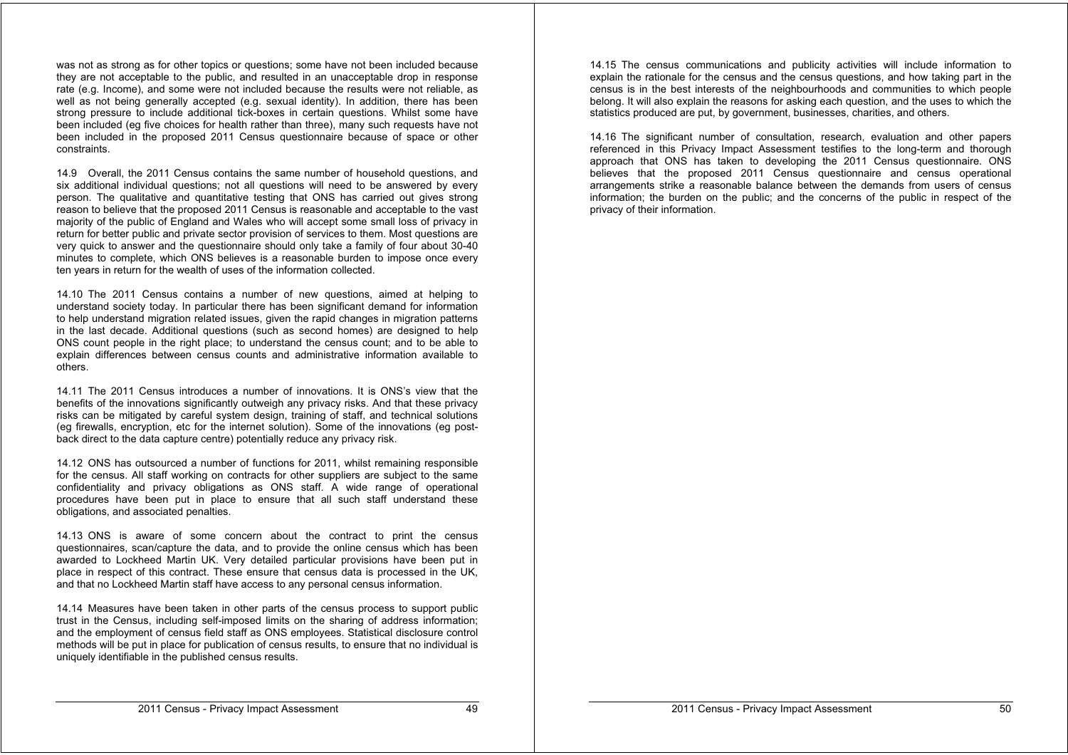was not as strong as for other topics or questions; some have not been included because they are not acceptable to the public, and resulted in an unacceptable drop in response rate (e.g. Income), and some were not included because the results were not reliable, as well as not being generally accepted (e.g. sexual identity). In addition, there has been strong pressure to include additional tick-boxes in certain questions. Whilst some have been included (eg five choices for health rather than three), many such requests have not been included in the proposed 2011 Census questionnaire because of space or other constraints.

14.9 Overall, the 2011 Census contains the same number of household questions, and six additional individual questions; not all questions will need to be answered by every person. The qualitative and quantitative testing that ONS has carried out gives strong reason to believe that the proposed 2011 Census is reasonable and acceptable to the vast majority of the public of England and Wales who will accept some small loss of privacy in return for better public and private sector provision of services to them. Most questions are very quick to answer and the questionnaire should only take a family of four about 30-40 minutes to complete, which ONS believes is a reasonable burden to impose once every ten years in return for the wealth of uses of the information collected.

14.10 The 2011 Census contains a number of new questions, aimed at helping to understand society today. In particular there has been significant demand for information to help understand migration related issues, given the rapid changes in migration patterns in the last decade. Additional questions (such as second homes) are designed to help ONS count people in the right place; to understand the census count; and to be able to explain differences between census counts and administrative information available to others.

14.11 The 2011 Census introduces a number of innovations. It is ONS's view that the benefits of the innovations significantly outweigh any privacy risks. And that these privacy risks can be mitigated by careful system design, training of staff, and technical solutions (eg firewalls, encryption, etc for the internet solution). Some of the innovations (eg postback direct to the data capture centre) potentially reduce any privacy risk.

14.12 ONS has outsourced a number of functions for 2011, whilst remaining responsible for the census. All staff working on contracts for other suppliers are subject to the same confidentiality and privacy obligations as ONS staff. A wide range of operational procedures have been put in place to ensure that all such staff understand these obligations, and associated penalties.

14.13 ONS is aware of some concern about the contract to print the census questionnaires, scan/capture the data, and to provide the online census which has been awarded to Lockheed Martin UK. Very detailed particular provisions have been put in place in respect of this contract. These ensure that census data is processed in the UK, and that no Lockheed Martin staff have access to any personal census information.

14.14 Measures have been taken in other parts of the census process to support public trust in the Census, including self-imposed limits on the sharing of address information; and the employment of census field staff as ONS employees. Statistical disclosure control methods will be put in place for publication of census results, to ensure that no individual is uniquely identifiable in the published census results.

14.15 The census communications and publicity activities will include information to explain the rationale for the census and the census questions, and how taking part in the census is in the best interests of the neighbourhoods and communities to which people belong. It will also explain the reasons for asking each question, and the uses to which the statistics produced are put, by government, businesses, charities, and others.

14.16 The significant number of consultation, research, evaluation and other papers referenced in this Privacy Impact Assessment testifies to the long-term and thorough approach that ONS has taken to developing the 2011 Census questionnaire. ONS believes that the proposed 2011 Census questionnaire and census operational arrangements strike a reasonable balance between the demands from users of census information; the burden on the public; and the concerns of the public in respect of the privacy of their information.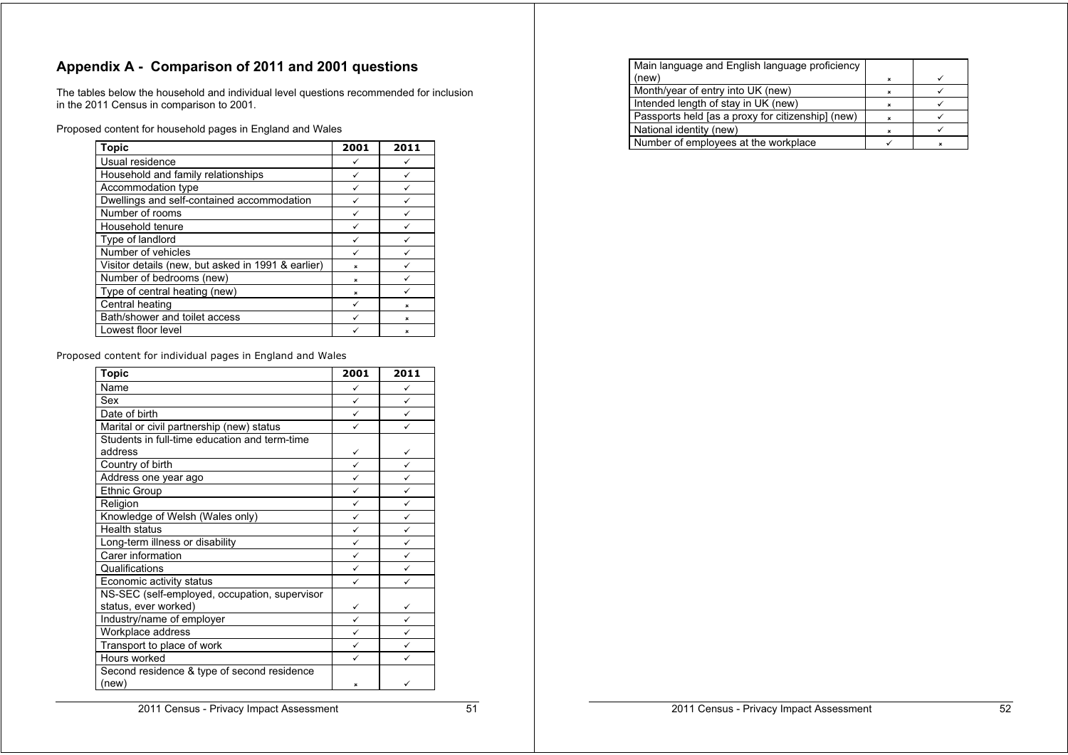## **Appendix A - Comparison of 2011 and 2001 questions**

The tables below the household and individual level questions recommended for inclusion in the 2011 Census in comparison to 2001.

Proposed content for household pages in England and Wales

| <b>Topic</b>                                       | 2001           | 2011                      |
|----------------------------------------------------|----------------|---------------------------|
| Usual residence                                    |                |                           |
| Household and family relationships                 |                |                           |
| Accommodation type                                 | ✓              | ✓                         |
| Dwellings and self-contained accommodation         |                |                           |
| Number of rooms                                    |                |                           |
| Household tenure                                   |                |                           |
| Type of landlord                                   |                |                           |
| Number of vehicles                                 |                |                           |
| Visitor details (new, but asked in 1991 & earlier) | $\mathbf{x}$   |                           |
| Number of bedrooms (new)                           | ×              |                           |
| Type of central heating (new)                      | $\pmb{\times}$ |                           |
| Central heating                                    |                | ×                         |
| Bath/shower and toilet access                      |                | $\boldsymbol{\mathsf{x}}$ |
| Lowest floor level                                 |                | ×                         |

Proposed content for individual pages in England and Wales

| <b>Topic</b>                                             | 2001         | 2011         |
|----------------------------------------------------------|--------------|--------------|
| Name                                                     | ✓            | ✓            |
| Sex                                                      | $\checkmark$ | ✓            |
| Date of birth                                            | ✓            | ✓            |
| Marital or civil partnership (new) status                | ✓            | ✓            |
| Students in full-time education and term-time<br>address | ✓            | ✓            |
| Country of birth                                         | ✓            | $\checkmark$ |
| Address one year ago                                     | ✓            | ✓            |
| <b>Ethnic Group</b>                                      | ✓            | $\checkmark$ |
| Religion                                                 | ✓            | ✓            |
| Knowledge of Welsh (Wales only)                          | ✓            | ✓            |
| <b>Health status</b>                                     | ✓            | ✓            |
| Long-term illness or disability                          | ✓            | ✓            |
| Carer information                                        | ✓            | ✓            |
| Qualifications                                           | ✓            | ✓            |
| Economic activity status                                 | ✓            | ✓            |
| NS-SEC (self-employed, occupation, supervisor            |              |              |
| status, ever worked)                                     | ✓            | ✓            |
| Industry/name of employer                                | ✓            | ✓            |
| Workplace address                                        | ✓            | ✓            |
| Transport to place of work                               | ✓            | ✓            |
| Hours worked                                             | ✓            | ✓            |
| Second residence & type of second residence<br>(new)     | ×            | ✓            |

| Main language and English language proficiency    |   |  |
|---------------------------------------------------|---|--|
| (new)                                             |   |  |
| Month/year of entry into UK (new)                 | × |  |
| Intended length of stay in UK (new)               |   |  |
| Passports held [as a proxy for citizenship] (new) |   |  |
| National identity (new)                           |   |  |
| Number of employees at the workplace              |   |  |

2011 Census - Privacy Impact Assessment 51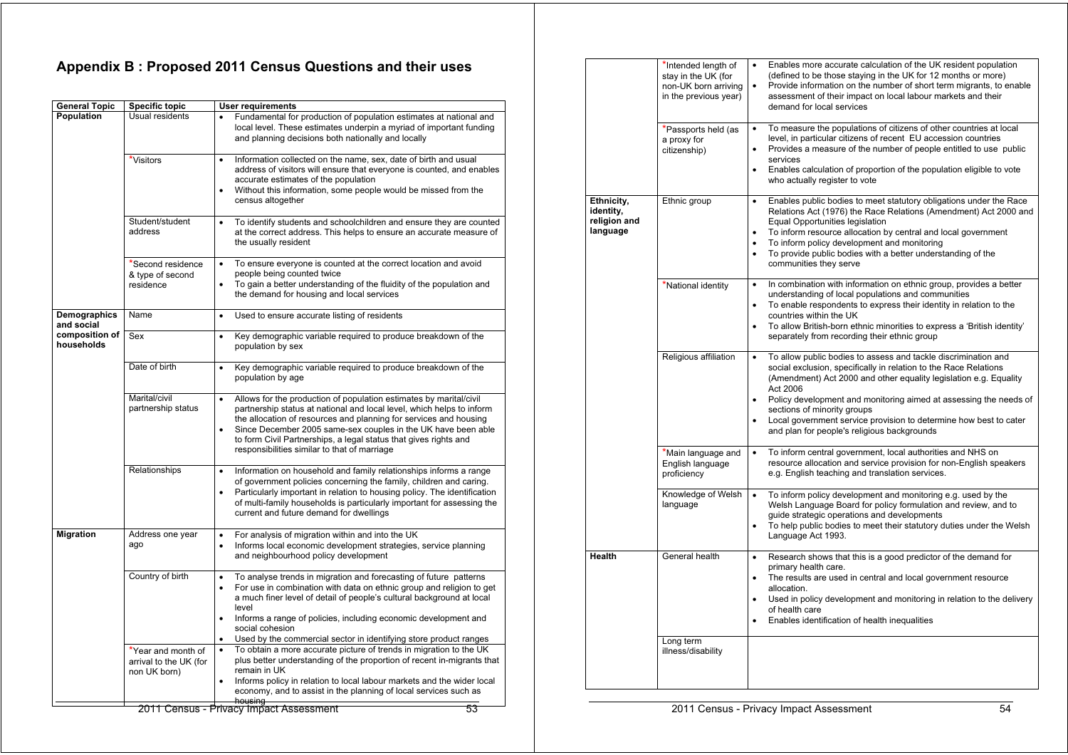## **Appendix B : Proposed 2011 Census Questions and their uses**

| <b>General Topic</b>         | <b>Specific topic</b>                                        | <b>User requirements</b>                                                                                                                                                                                                                                                                                                                                                                                                                   |
|------------------------------|--------------------------------------------------------------|--------------------------------------------------------------------------------------------------------------------------------------------------------------------------------------------------------------------------------------------------------------------------------------------------------------------------------------------------------------------------------------------------------------------------------------------|
| Population                   | Usual residents                                              | Fundamental for production of population estimates at national and<br>$\bullet$<br>local level. These estimates underpin a myriad of important funding<br>and planning decisions both nationally and locally                                                                                                                                                                                                                               |
|                              | *Visitors                                                    | Information collected on the name, sex, date of birth and usual<br>$\bullet$<br>address of visitors will ensure that everyone is counted, and enables<br>accurate estimates of the population<br>Without this information, some people would be missed from the<br>$\bullet$<br>census altogether                                                                                                                                          |
|                              | Student/student<br>address                                   | To identify students and schoolchildren and ensure they are counted<br>$\bullet$<br>at the correct address. This helps to ensure an accurate measure of<br>the usually resident                                                                                                                                                                                                                                                            |
|                              | *Second residence<br>& type of second<br>residence           | To ensure everyone is counted at the correct location and avoid<br>$\bullet$<br>people being counted twice<br>To gain a better understanding of the fluidity of the population and<br>$\bullet$<br>the demand for housing and local services                                                                                                                                                                                               |
| Demographics<br>and social   | Name                                                         | Used to ensure accurate listing of residents<br>$\bullet$                                                                                                                                                                                                                                                                                                                                                                                  |
| composition of<br>households | Sex                                                          | Key demographic variable required to produce breakdown of the<br>$\bullet$<br>population by sex                                                                                                                                                                                                                                                                                                                                            |
|                              | Date of birth                                                | Key demographic variable required to produce breakdown of the<br>$\bullet$<br>population by age                                                                                                                                                                                                                                                                                                                                            |
|                              | Marital/civil<br>partnership status                          | Allows for the production of population estimates by marital/civil<br>$\bullet$<br>partnership status at national and local level, which helps to inform<br>the allocation of resources and planning for services and housing<br>Since December 2005 same-sex couples in the UK have been able<br>$\bullet$<br>to form Civil Partnerships, a legal status that gives rights and<br>responsibilities similar to that of marriage            |
|                              | Relationships                                                | Information on household and family relationships informs a range<br>$\bullet$<br>of government policies concerning the family, children and caring.<br>Particularly important in relation to housing policy. The identification<br>$\bullet$<br>of multi-family households is particularly important for assessing the<br>current and future demand for dwellings                                                                         |
| <b>Migration</b>             | Address one year<br>ago                                      | For analysis of migration within and into the UK<br>$\bullet$<br>Informs local economic development strategies, service planning<br>$\bullet$<br>and neighbourhood policy development                                                                                                                                                                                                                                                      |
|                              | Country of birth                                             | To analyse trends in migration and forecasting of future patterns<br>$\bullet$<br>For use in combination with data on ethnic group and religion to get<br>$\bullet$<br>a much finer level of detail of people's cultural background at local<br>level<br>Informs a range of policies, including economic development and<br>$\bullet$<br>social cohesion<br>Used by the commercial sector in identifying store product ranges<br>$\bullet$ |
|                              | *Year and month of<br>arrival to the UK (for<br>non UK born) | To obtain a more accurate picture of trends in migration to the UK<br>$\bullet$<br>plus better understanding of the proportion of recent in-migrants that<br>remain in UK<br>Informs policy in relation to local labour markets and the wider local<br>economy, and to assist in the planning of local services such as<br>housing                                                                                                         |
|                              |                                                              | 2011 Census - Privacy Impact Assessment<br>53                                                                                                                                                                                                                                                                                                                                                                                              |

|                                                     | *Intended length of<br>stay in the UK (for<br>non-UK born arriving<br>in the previous year) | Enables more accurate calculation of the UK resident population<br>$\bullet$<br>(defined to be those staying in the UK for 12 months or more)<br>Provide information on the number of short term migrants, to enable<br>assessment of their impact on local labour markets and their<br>demand for local services                                                                                                                                                                  |
|-----------------------------------------------------|---------------------------------------------------------------------------------------------|------------------------------------------------------------------------------------------------------------------------------------------------------------------------------------------------------------------------------------------------------------------------------------------------------------------------------------------------------------------------------------------------------------------------------------------------------------------------------------|
|                                                     | *Passports held (as<br>a proxy for<br>citizenship)                                          | To measure the populations of citizens of other countries at local<br>$\bullet$<br>level, in particular citizens of recent EU accession countries<br>Provides a measure of the number of people entitled to use public<br>$\bullet$<br>services<br>Enables calculation of proportion of the population eligible to vote<br>$\bullet$<br>who actually register to vote                                                                                                              |
| Ethnicity,<br>identity,<br>religion and<br>language | Ethnic group                                                                                | Enables public bodies to meet statutory obligations under the Race<br>$\bullet$<br>Relations Act (1976) the Race Relations (Amendment) Act 2000 and<br>Equal Opportunities legislation<br>To inform resource allocation by central and local government<br>$\bullet$<br>To inform policy development and monitoring<br>$\bullet$<br>To provide public bodies with a better understanding of the<br>$\bullet$<br>communities they serve                                             |
|                                                     | *National identity                                                                          | In combination with information on ethnic group, provides a better<br>$\bullet$<br>understanding of local populations and communities<br>To enable respondents to express their identity in relation to the<br>$\bullet$<br>countries within the UK<br>To allow British-born ethnic minorities to express a 'British identity'<br>$\bullet$<br>separately from recording their ethnic group                                                                                        |
|                                                     | Religious affiliation                                                                       | To allow public bodies to assess and tackle discrimination and<br>$\bullet$<br>social exclusion, specifically in relation to the Race Relations<br>(Amendment) Act 2000 and other equality legislation e.g. Equality<br>Act 2006<br>Policy development and monitoring aimed at assessing the needs of<br>$\bullet$<br>sections of minority groups<br>Local government service provision to determine how best to cater<br>$\bullet$<br>and plan for people's religious backgrounds |
|                                                     | *Main language and<br>English language<br>proficiency                                       | To inform central government, local authorities and NHS on<br>$\bullet$<br>resource allocation and service provision for non-English speakers<br>e.g. English teaching and translation services.                                                                                                                                                                                                                                                                                   |
|                                                     | Knowledge of Welsh<br>language                                                              | To inform policy development and monitoring e.g. used by the<br>$\bullet$<br>Welsh Language Board for policy formulation and review, and to<br>guide strategic operations and developments<br>To help public bodies to meet their statutory duties under the Welsh<br>$\bullet$<br>Language Act 1993.                                                                                                                                                                              |
| <b>Health</b>                                       | General health                                                                              | Research shows that this is a good predictor of the demand for<br>$\bullet$<br>primary health care.<br>The results are used in central and local government resource<br>$\bullet$<br>allocation.<br>Used in policy development and monitoring in relation to the delivery<br>$\bullet$<br>of health care<br>Enables identification of health inequalities<br>$\bullet$                                                                                                             |
|                                                     | Long term<br>illness/disability                                                             |                                                                                                                                                                                                                                                                                                                                                                                                                                                                                    |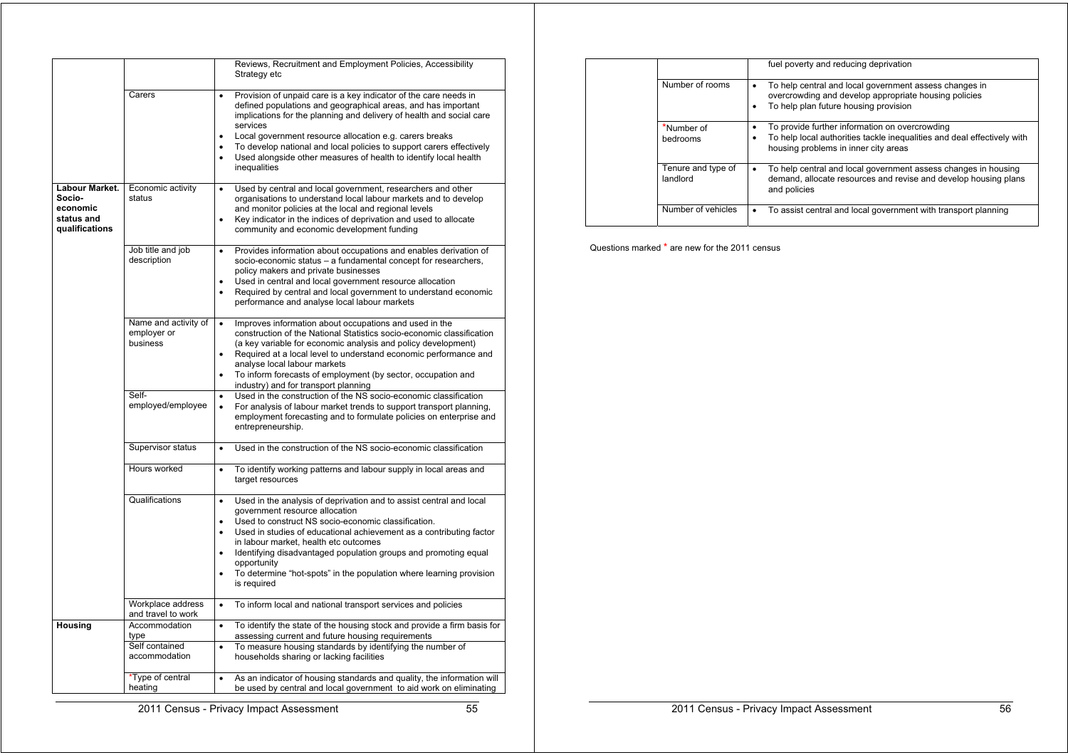|                                                                      |                                                          | Reviews, Recruitment and Employment Policies, Accessibility<br>Strategy etc                                                                                                                                                                                                                                                                                                                                                                                                                              |
|----------------------------------------------------------------------|----------------------------------------------------------|----------------------------------------------------------------------------------------------------------------------------------------------------------------------------------------------------------------------------------------------------------------------------------------------------------------------------------------------------------------------------------------------------------------------------------------------------------------------------------------------------------|
|                                                                      | Carers                                                   | Provision of unpaid care is a key indicator of the care needs in<br>$\bullet$<br>defined populations and geographical areas, and has important<br>implications for the planning and delivery of health and social care<br>services<br>Local government resource allocation e.g. carers breaks<br>$\bullet$<br>To develop national and local policies to support carers effectively<br>$\bullet$<br>Used alongside other measures of health to identify local health<br>inequalities                      |
| Labour Market.<br>Socio-<br>economic<br>status and<br>qualifications | Economic activity<br>status                              | Used by central and local government, researchers and other<br>$\bullet$<br>organisations to understand local labour markets and to develop<br>and monitor policies at the local and regional levels<br>Key indicator in the indices of deprivation and used to allocate<br>$\bullet$<br>community and economic development funding                                                                                                                                                                      |
|                                                                      | Job title and job<br>description                         | Provides information about occupations and enables derivation of<br>$\bullet$<br>socio-economic status - a fundamental concept for researchers,<br>policy makers and private businesses<br>Used in central and local government resource allocation<br>$\bullet$<br>Required by central and local government to understand economic<br>$\bullet$<br>performance and analyse local labour markets                                                                                                         |
|                                                                      | Name and activity of<br>employer or<br>business          | Improves information about occupations and used in the<br>$\bullet$<br>construction of the National Statistics socio-economic classification<br>(a key variable for economic analysis and policy development)<br>Required at a local level to understand economic performance and<br>$\bullet$<br>analyse local labour markets<br>To inform forecasts of employment (by sector, occupation and<br>$\bullet$<br>industry) and for transport planning                                                      |
|                                                                      | Self-<br>employed/employee                               | Used in the construction of the NS socio-economic classification<br>$\bullet$<br>For analysis of labour market trends to support transport planning,<br>$\bullet$<br>employment forecasting and to formulate policies on enterprise and<br>entrepreneurship.                                                                                                                                                                                                                                             |
|                                                                      | Supervisor status                                        | Used in the construction of the NS socio-economic classification<br>$\bullet$                                                                                                                                                                                                                                                                                                                                                                                                                            |
|                                                                      | Hours worked                                             | To identify working patterns and labour supply in local areas and<br>$\bullet$<br>target resources                                                                                                                                                                                                                                                                                                                                                                                                       |
|                                                                      | Qualifications                                           | Used in the analysis of deprivation and to assist central and local<br>$\bullet$<br>government resource allocation<br>Used to construct NS socio-economic classification.<br>$\bullet$<br>Used in studies of educational achievement as a contributing factor<br>in labour market, health etc outcomes<br>Identifying disadvantaged population groups and promoting equal<br>$\bullet$<br>opportunity<br>To determine "hot-spots" in the population where learning provision<br>$\bullet$<br>is required |
|                                                                      | Workplace address<br>and travel to work                  | To inform local and national transport services and policies<br>$\bullet$                                                                                                                                                                                                                                                                                                                                                                                                                                |
| Housing                                                              | Accommodation<br>type<br>Self contained<br>accommodation | To identify the state of the housing stock and provide a firm basis for<br>$\bullet$<br>assessing current and future housing requirements<br>To measure housing standards by identifying the number of<br>$\bullet$<br>households sharing or lacking facilities                                                                                                                                                                                                                                          |
|                                                                      | *Type of central<br>heating                              | As an indicator of housing standards and quality, the information will<br>$\bullet$<br>be used by central and local government to aid work on eliminating                                                                                                                                                                                                                                                                                                                                                |

|                                | fuel poverty and reducing deprivation                                                                                                                                  |
|--------------------------------|------------------------------------------------------------------------------------------------------------------------------------------------------------------------|
| Number of rooms                | To help central and local government assess changes in<br>٠<br>overcrowding and develop appropriate housing policies<br>To help plan future housing provision          |
| *Number of<br>bedrooms         | To provide further information on overcrowding<br>٠<br>To help local authorities tackle inequalities and deal effectively with<br>housing problems in inner city areas |
| Tenure and type of<br>landlord | To help central and local government assess changes in housing<br>demand, allocate resources and revise and develop housing plans<br>and policies                      |
| Number of vehicles             | To assist central and local government with transport planning                                                                                                         |

Questions marked \* are new for the 2011 census

2011 Census - Privacy Impact Assessment 55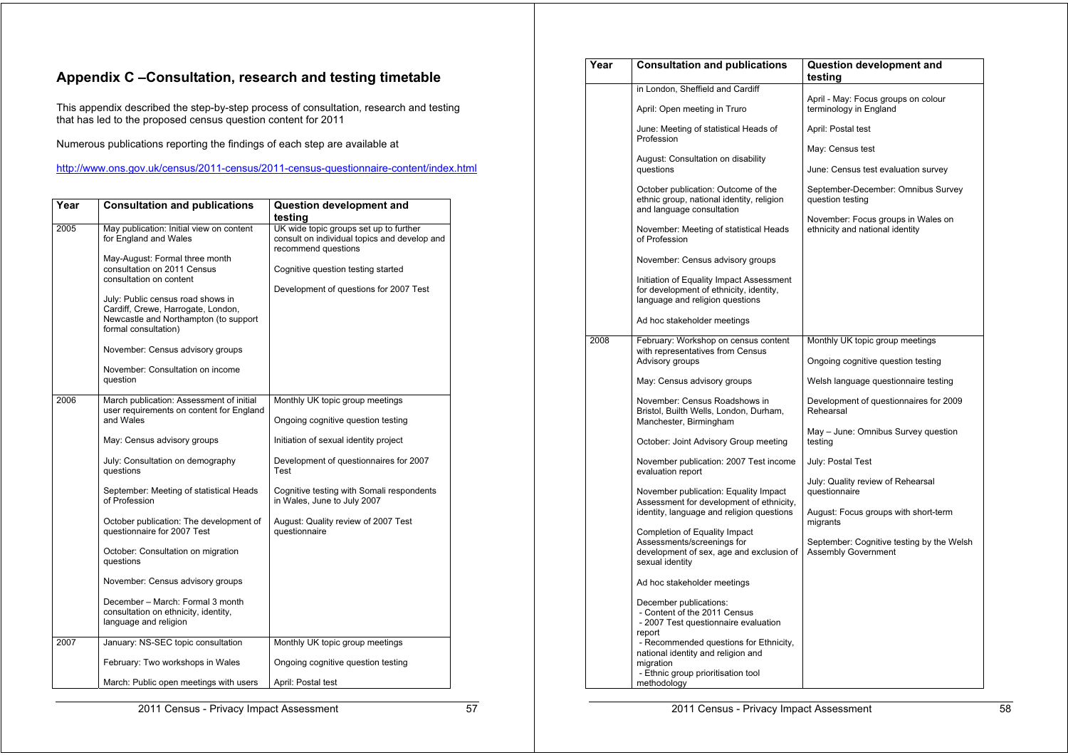## **Appendix C –Consultation, research and testing timetable**

This appendix described the step-by-step process of consultation, research and testing that has led to the proposed census question content for 2011

Numerous publications reporting the findings of each step are available at

http://www.ons.gov.uk/census/2011-census/2011-census-questionnaire-content/index.html

| Year | <b>Consultation and publications</b>                                                                                                     | Question development and                                                                                      |
|------|------------------------------------------------------------------------------------------------------------------------------------------|---------------------------------------------------------------------------------------------------------------|
|      |                                                                                                                                          | testina                                                                                                       |
| 2005 | May publication: Initial view on content<br>for England and Wales                                                                        | UK wide topic groups set up to further<br>consult on individual topics and develop and<br>recommend questions |
|      | May-August: Formal three month<br>consultation on 2011 Census<br>consultation on content                                                 | Cognitive question testing started                                                                            |
|      | July: Public census road shows in<br>Cardiff, Crewe, Harrogate, London,<br>Newcastle and Northampton (to support<br>formal consultation) | Development of questions for 2007 Test                                                                        |
|      | November: Census advisory groups                                                                                                         |                                                                                                               |
|      | November: Consultation on income<br>question                                                                                             |                                                                                                               |
| 2006 | March publication: Assessment of initial                                                                                                 | Monthly UK topic group meetings                                                                               |
|      | user requirements on content for England<br>and Wales                                                                                    | Ongoing cognitive question testing                                                                            |
|      | May: Census advisory groups                                                                                                              | Initiation of sexual identity project                                                                         |
|      | July: Consultation on demography<br>questions                                                                                            | Development of questionnaires for 2007<br>Test                                                                |
|      | September: Meeting of statistical Heads<br>of Profession                                                                                 | Cognitive testing with Somali respondents<br>in Wales, June to July 2007                                      |
|      | October publication: The development of<br>questionnaire for 2007 Test                                                                   | August: Quality review of 2007 Test<br>questionnaire                                                          |
|      | October: Consultation on migration<br>questions                                                                                          |                                                                                                               |
|      | November: Census advisory groups                                                                                                         |                                                                                                               |
|      | December - March: Formal 3 month<br>consultation on ethnicity, identity,<br>language and religion                                        |                                                                                                               |
| 2007 | January: NS-SEC topic consultation                                                                                                       | Monthly UK topic group meetings                                                                               |
|      | February: Two workshops in Wales                                                                                                         | Ongoing cognitive question testing                                                                            |
|      | March: Public open meetings with users                                                                                                   | April: Postal test                                                                                            |

| Year | <b>Consultation and publications</b>                                                                                                               | Question development and<br>testing                                     |
|------|----------------------------------------------------------------------------------------------------------------------------------------------------|-------------------------------------------------------------------------|
|      | in London, Sheffield and Cardiff                                                                                                                   |                                                                         |
|      | April: Open meeting in Truro                                                                                                                       | April - May: Focus groups on colour<br>terminology in England           |
|      | June: Meeting of statistical Heads of<br>Profession                                                                                                | April: Postal test                                                      |
|      |                                                                                                                                                    | May: Census test                                                        |
|      | August: Consultation on disability<br>questions                                                                                                    | June: Census test evaluation survey                                     |
|      | October publication: Outcome of the<br>ethnic group, national identity, religion<br>and language consultation                                      | September-December: Omnibus Survey<br>question testing                  |
|      | November: Meeting of statistical Heads<br>of Profession                                                                                            | November: Focus groups in Wales on<br>ethnicity and national identity   |
|      | November: Census advisory groups                                                                                                                   |                                                                         |
|      | Initiation of Equality Impact Assessment<br>for development of ethnicity, identity,<br>language and religion questions                             |                                                                         |
|      | Ad hoc stakeholder meetings                                                                                                                        |                                                                         |
| 2008 | February: Workshop on census content<br>with representatives from Census                                                                           | Monthly UK topic group meetings                                         |
|      | Advisory groups                                                                                                                                    | Ongoing cognitive question testing                                      |
|      | May: Census advisory groups                                                                                                                        | Welsh language questionnaire testing                                    |
|      | November: Census Roadshows in<br>Bristol, Builth Wells, London, Durham,<br>Manchester, Birmingham                                                  | Development of questionnaires for 2009<br>Rehearsal                     |
|      | October: Joint Advisory Group meeting                                                                                                              | May - June: Omnibus Survey question<br>testing                          |
|      | November publication: 2007 Test income<br>evaluation report                                                                                        | July: Postal Test                                                       |
|      | November publication: Equality Impact                                                                                                              | July: Quality review of Rehearsal<br>questionnaire                      |
|      | Assessment for development of ethnicity,<br>identity, language and religion questions                                                              | August: Focus groups with short-term<br>migrants                        |
|      | Completion of Equality Impact<br>Assessments/screenings for<br>development of sex, age and exclusion of<br>sexual identity                         | September: Cognitive testing by the Welsh<br><b>Assembly Government</b> |
|      | Ad hoc stakeholder meetings                                                                                                                        |                                                                         |
|      | December publications:<br>- Content of the 2011 Census<br>- 2007 Test questionnaire evaluation<br>report<br>- Recommended questions for Ethnicity, |                                                                         |
|      | national identity and religion and<br>migration<br>- Ethnic group prioritisation tool<br>methodology                                               |                                                                         |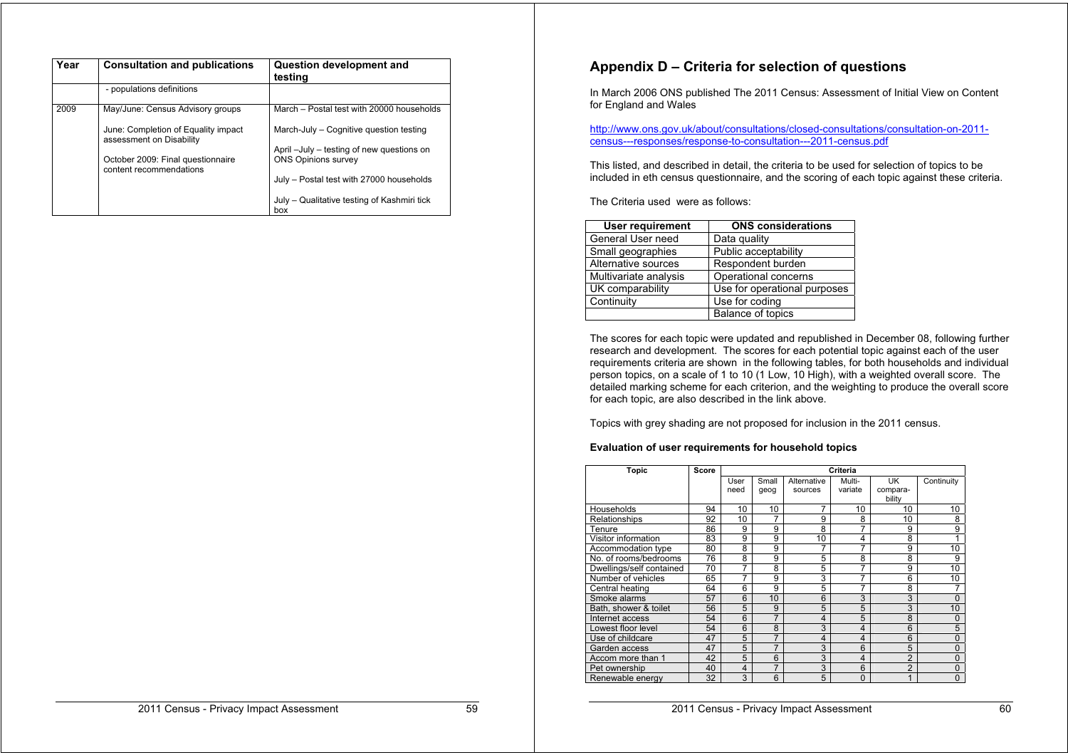| Year | <b>Consultation and publications</b>                            | <b>Question development and</b><br>testing         |
|------|-----------------------------------------------------------------|----------------------------------------------------|
|      | - populations definitions                                       |                                                    |
| 2009 | May/June: Census Advisory groups                                | March - Postal test with 20000 households          |
|      | June: Completion of Equality impact<br>assessment on Disability | March-July - Cognitive question testing            |
|      |                                                                 | April -July - testing of new questions on          |
|      | October 2009: Final questionnaire<br>content recommendations    | <b>ONS Opinions survey</b>                         |
|      |                                                                 | July - Postal test with 27000 households           |
|      |                                                                 | July - Qualitative testing of Kashmiri tick<br>box |

## **Appendix D – Criteria for selection of questions**

In March 2006 ONS published The 2011 Census: Assessment of Initial View on Content for England and Wales

http://www.ons.gov.uk/about/consultations/closed-consultations/consultation-on-2011 census---responses/response-to-consultation---2011-census.pdf

This listed, and described in detail, the criteria to be used for selection of topics to be included in eth census questionnaire, and the scoring of each topic against these criteria.

The Criteria used were as follows:

| <b>User requirement</b> | <b>ONS</b> considerations    |
|-------------------------|------------------------------|
| General User need       | Data quality                 |
| Small geographies       | Public acceptability         |
| Alternative sources     | Respondent burden            |
| Multivariate analysis   | Operational concerns         |
| UK comparability        | Use for operational purposes |
| Continuity              | Use for coding               |
|                         | <b>Balance of topics</b>     |

The scores for each topic were updated and republished in December 08, following further research and development. The scores for each potential topic against each of the user requirements criteria are shown in the following tables, for both households and individual person topics, on a scale of 1 to 10 (1 Low, 10 High), with a weighted overall score. The detailed marking scheme for each criterion, and the weighting to produce the overall score for each topic, are also described in the link above.

Topics with grey shading are not proposed for inclusion in the 2011 census.

#### **Evaluation of user requirements for household topics**

| Topic                    | Score | Criteria |       |                |                |                |            |
|--------------------------|-------|----------|-------|----------------|----------------|----------------|------------|
|                          |       | User     | Small | Alternative    | Multi-         | UK             | Continuity |
|                          |       | need     | geog  | sources        | variate        | compara-       |            |
|                          |       |          |       |                |                | bility         |            |
| Households               | 94    | 10       | 10    | 7              | 10             | 10             | 10         |
| Relationships            | 92    | 10       | 7     | 9              | 8              | 10             | 8          |
| Tenure                   | 86    | 9        | 9     | 8              | 7              | 9              | 9          |
| Visitor information      | 83    | 9        | 9     | 10             | 4              | 8              |            |
| Accommodation type       | 80    | 8        | 9     | 7              | 7              | 9              | 10         |
| No. of rooms/bedrooms    | 76    | 8        | 9     | 5              | 8              | 8              | 9          |
| Dwellings/self contained | 70    | 7        | 8     | 5              | 7              | 9              | 10         |
| Number of vehicles       | 65    | 7        | 9     | 3              | 7              | 6              | 10         |
| Central heating          | 64    | 6        | 9     | 5              | 7              | 8              | 7          |
| Smoke alarms             | 57    | 6        | 10    | 6              | 3              | 3              | 0          |
| Bath, shower & toilet    | 56    | 5        | 9     | 5              | 5              | 3              | 10         |
| Internet access          | 54    | 6        | 7     | $\overline{4}$ | 5              | 8              | 0          |
| Lowest floor level       | 54    | 6        | 8     | 3              | $\overline{4}$ | 6              | 5          |
| Use of childcare         | 47    | 5        | 7     | 4              | $\overline{4}$ | 6              | 0          |
| Garden access            | 47    | 5        | 7     | 3              | 6              | 5              | 0          |
| Accom more than 1        | 42    | 5        | 6     | 3              | $\overline{4}$ | $\overline{2}$ | 0          |
| Pet ownership            | 40    | 4        | 7     | 3              | 6              | $\overline{2}$ | 0          |
| Renewable energy         | 32    | 3        | 6     | 5              | $\Omega$       | 1              | 0          |